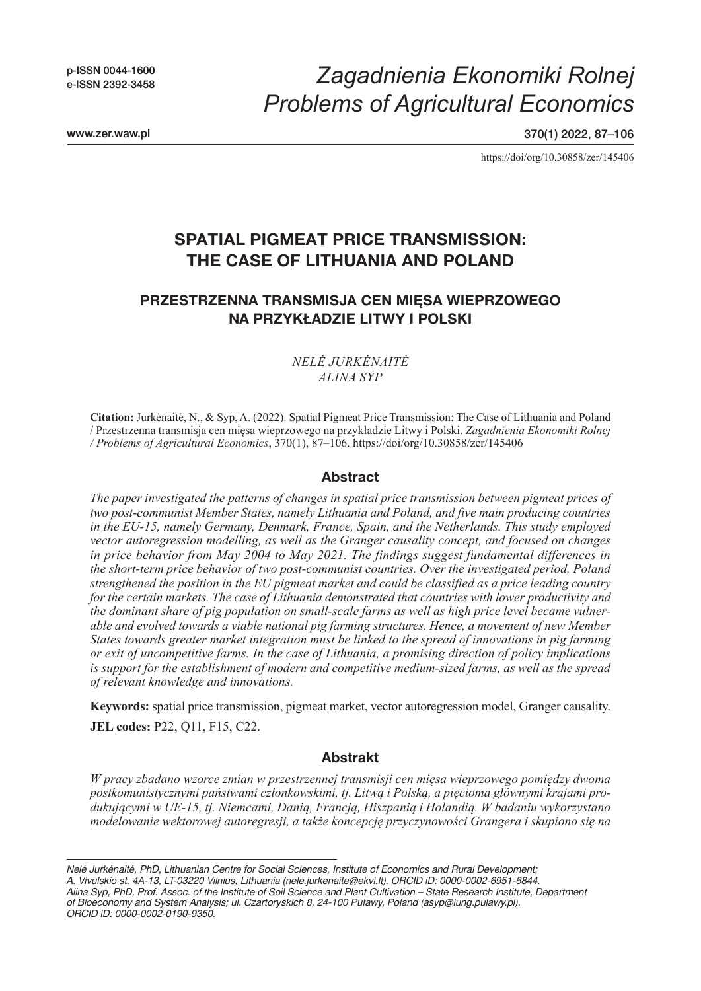p-ISSN 0044-1600 e-ISSN 2392-3458

www.zer.waw.pl

*Zagadnienia Ekonomiki Rolnej Problems of Agricultural Economics*

370(1) 2022, 87–106

https://doi/org/10.30858/zer/145406

# **SPATIAL PIGMEAT PRICE TRANSMISSION: THE CASE OF LITHUANIA AND POLAND**

## **PRZESTRZENNA TRANSMISJA CEN MIĘSA WIEPRZOWEGO NA PRZYKŁADZIE LITWY I POLSKI**

### *NELĖ JURKĖNAITĖ ALINA SYP*

**Citation:** Jurkėnaitė, N., & Syp, A. (2022). Spatial Pigmeat Price Transmission: The Case of Lithuania and Poland / Przestrzenna transmisja cen mięsa wieprzowego na przykładzie Litwy i Polski. *Zagadnienia Ekonomiki Rolnej / Problems of Agricultural Economics*, 370(1), 87–106. https://doi/org/10.30858/zer/145406

### **Abstract**

*The paper investigated the patterns of changes in spatial price transmission between pigmeat prices of two post-communist Member States, namely Lithuania and Poland, and five main producing countries in the EU-15, namely Germany, Denmark, France, Spain, and the Netherlands. This study employed vector autoregression modelling, as well as the Granger causality concept, and focused on changes in price behavior from May 2004 to May 2021. The findings suggest fundamental differences in the short-term price behavior of two post-communist countries. Over the investigated period, Poland strengthened the position in the EU pigmeat market and could be classified as a price leading country for the certain markets. The case of Lithuania demonstrated that countries with lower productivity and the dominant share of pig population on small-scale farms as well as high price level became vulnerable and evolved towards a viable national pig farming structures. Hence, a movement of new Member States towards greater market integration must be linked to the spread of innovations in pig farming or exit of uncompetitive farms. In the case of Lithuania, a promising direction of policy implications is support for the establishment of modern and competitive medium-sized farms, as well as the spread of relevant knowledge and innovations.*

**Keywords:** spatial price transmission, pigmeat market, vector autoregression model, Granger causality.

**JEL codes:** P22, Q11, F15, C22.

### **Abstrakt**

*W pracy zbadano wzorce zmian w przestrzennej transmisji cen mięsa wieprzowego pomiędzy dwoma postkomunistycznymi państwami członkowskimi, tj. Litwą i Polską, a pięcioma głównymi krajami produkującymi w UE-15, tj. Niemcami, Danią, Francją, Hiszpanią i Holandią. W badaniu wykorzystano modelowanie wektorowej autoregresji, a także koncepcję przyczynowości Grangera i skupiono się na* 

*Nelė Jurkėnaitė, PhD, Lithuanian Centre for Social Sciences, Institute of Economics and Rural Development; A. Vivulskio st. 4A-13, LT-03220 Vilnius, Lithuania (nele.jurkenaite@ekvi.lt). ORCID iD: 0000-0002-6951-6844. Alina Syp, PhD, Prof. Assoc. of the Institute of Soil Science and Plant Cultivation – State Research Institute, Department of Bioeconomy and System Analysis; ul. Czartoryskich 8, 24-100 Puławy, Poland (asyp@iung.pulawy.pl). ORCID iD: 0000-0002-0190-9350.*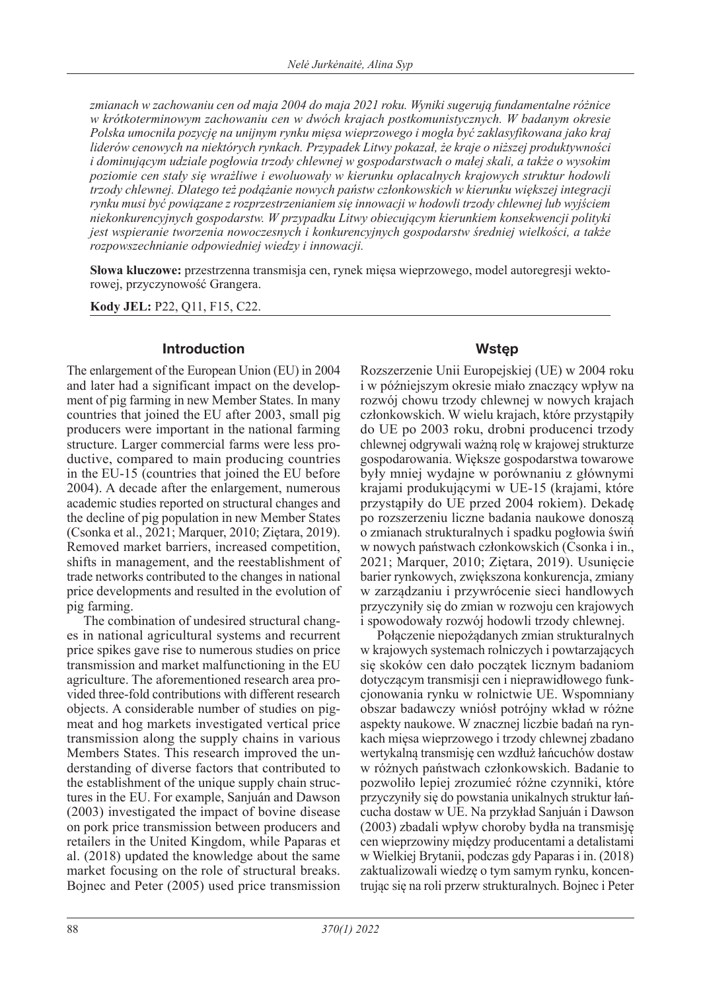*zmianach w zachowaniu cen od maja 2004 do maja 2021 roku. Wyniki sugerują fundamentalne różnice w krótkoterminowym zachowaniu cen w dwóch krajach postkomunistycznych. W badanym okresie Polska umocniła pozycję na unijnym rynku mięsa wieprzowego i mogła być zaklasyfikowana jako kraj liderów cenowych na niektórych rynkach. Przypadek Litwy pokazał, że kraje o niższej produktywności i dominującym udziale pogłowia trzody chlewnej w gospodarstwach o małej skali, a także o wysokim poziomie cen stały się wrażliwe i ewoluowały w kierunku opłacalnych krajowych struktur hodowli trzody chlewnej. Dlatego też podążanie nowych państw członkowskich w kierunku większej integracji rynku musi być powiązane z rozprzestrzenianiem się innowacji w hodowli trzody chlewnej lub wyjściem niekonkurencyjnych gospodarstw. W przypadku Litwy obiecującym kierunkiem konsekwencji polityki jest wspieranie tworzenia nowoczesnych i konkurencyjnych gospodarstw średniej wielkości, a także rozpowszechnianie odpowiedniej wiedzy i innowacji.*

**Słowa kluczowe:** przestrzenna transmisja cen, rynek mięsa wieprzowego, model autoregresji wektorowej, przyczynowość Grangera.

**Kody JEL:** P22, Q11, F15, C22.

### **Introduction**

The enlargement of the European Union (EU) in 2004 and later had a significant impact on the development of pig farming in new Member States. In many countries that joined the EU after 2003, small pig producers were important in the national farming structure. Larger commercial farms were less productive, compared to main producing countries in the EU-15 (countries that joined the EU before 2004). A decade after the enlargement, numerous academic studies reported on structural changes and the decline of pig population in new Member States (Csonka et al., 2021; Marquer, 2010; Ziętara, 2019). Removed market barriers, increased competition, shifts in management, and the reestablishment of trade networks contributed to the changes in national price developments and resulted in the evolution of pig farming.

The combination of undesired structural changes in national agricultural systems and recurrent price spikes gave rise to numerous studies on price transmission and market malfunctioning in the EU agriculture. The aforementioned research area provided three-fold contributions with different research objects. A considerable number of studies on pigmeat and hog markets investigated vertical price transmission along the supply chains in various Members States. This research improved the understanding of diverse factors that contributed to the establishment of the unique supply chain structures in the EU. For example, Sanjuán and Dawson (2003) investigated the impact of bovine disease on pork price transmission between producers and retailers in the United Kingdom, while Paparas et al. (2018) updated the knowledge about the same market focusing on the role of structural breaks. Bojnec and Peter (2005) used price transmission

## **Wstęp**

Rozszerzenie Unii Europejskiej (UE) w 2004 roku i w późniejszym okresie miało znaczący wpływ na rozwój chowu trzody chlewnej w nowych krajach członkowskich. W wielu krajach, które przystąpiły do UE po 2003 roku, drobni producenci trzody chlewnej odgrywali ważną rolę w krajowej strukturze gospodarowania. Większe gospodarstwa towarowe były mniej wydajne w porównaniu z głównymi krajami produkującymi w UE-15 (krajami, które przystąpiły do UE przed 2004 rokiem). Dekadę po rozszerzeniu liczne badania naukowe donoszą o zmianach strukturalnych i spadku pogłowia świń w nowych państwach członkowskich (Csonka i in., 2021; Marquer, 2010; Ziętara, 2019). Usunięcie barier rynkowych, zwiększona konkurencja, zmiany w zarządzaniu i przywrócenie sieci handlowych przyczyniły się do zmian w rozwoju cen krajowych i spowodowały rozwój hodowli trzody chlewnej.

Połączenie niepożądanych zmian strukturalnych w krajowych systemach rolniczych i powtarzających się skoków cen dało początek licznym badaniom dotyczącym transmisji cen i nieprawidłowego funkcjonowania rynku w rolnictwie UE. Wspomniany obszar badawczy wniósł potrójny wkład w różne aspekty naukowe. W znacznej liczbie badań na rynkach mięsa wieprzowego i trzody chlewnej zbadano wertykalną transmisję cen wzdłuż łańcuchów dostaw w różnych państwach członkowskich. Badanie to pozwoliło lepiej zrozumieć różne czynniki, które przyczyniły się do powstania unikalnych struktur łańcucha dostaw w UE. Na przykład Sanjuán i Dawson (2003) zbadali wpływ choroby bydła na transmisję cen wieprzowiny między producentami a detalistami w Wielkiej Brytanii, podczas gdy Paparas i in. (2018) zaktualizowali wiedzę o tym samym rynku, koncentrując się na roli przerw strukturalnych. Bojnec i Peter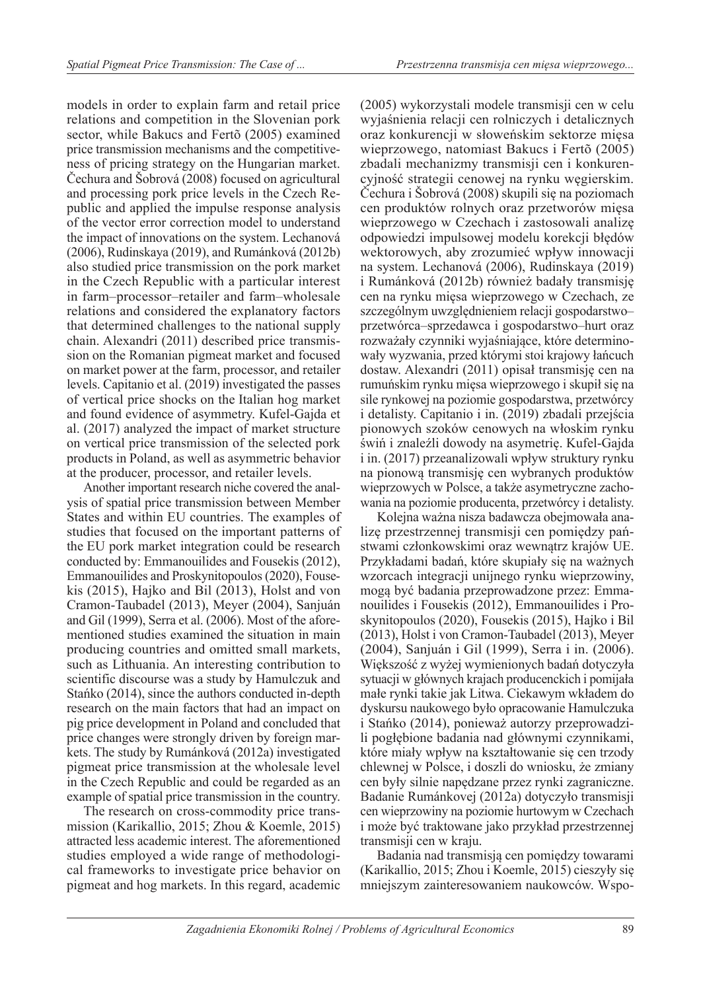models in order to explain farm and retail price relations and competition in the Slovenian pork sector, while Bakucs and Fertõ (2005) examined price transmission mechanisms and the competitiveness of pricing strategy on the Hungarian market. Čechura and Šobrová (2008) focused on agricultural and processing pork price levels in the Czech Republic and applied the impulse response analysis of the vector error correction model to understand the impact of innovations on the system. Lechanová (2006), Rudinskaya (2019), and Rumánková (2012b) also studied price transmission on the pork market in the Czech Republic with a particular interest in farm–processor–retailer and farm–wholesale relations and considered the explanatory factors that determined challenges to the national supply chain. Alexandri (2011) described price transmission on the Romanian pigmeat market and focused on market power at the farm, processor, and retailer levels. Capitanio et al. (2019) investigated the passes of vertical price shocks on the Italian hog market and found evidence of asymmetry. Kufel-Gajda et al. (2017) analyzed the impact of market structure on vertical price transmission of the selected pork products in Poland, as well as asymmetric behavior at the producer, processor, and retailer levels.

Another important research niche covered the analysis of spatial price transmission between Member States and within EU countries. The examples of studies that focused on the important patterns of the EU pork market integration could be research conducted by: Emmanouilides and Fousekis (2012), Emmanouilides and Proskynitopoulos (2020), Fousekis (2015), Hajko and Bil (2013), Holst and von Cramon-Taubadel (2013), Meyer (2004), Sanjuán and Gil (1999), Serra et al. (2006). Most of the aforementioned studies examined the situation in main producing countries and omitted small markets, such as Lithuania. An interesting contribution to scientific discourse was a study by Hamulczuk and Stańko (2014), since the authors conducted in-depth research on the main factors that had an impact on pig price development in Poland and concluded that price changes were strongly driven by foreign markets. The study by Rumánková (2012a) investigated pigmeat price transmission at the wholesale level in the Czech Republic and could be regarded as an example of spatial price transmission in the country.

The research on cross-commodity price transmission (Karikallio, 2015; Zhou & Koemle, 2015) attracted less academic interest. The aforementioned studies employed a wide range of methodological frameworks to investigate price behavior on pigmeat and hog markets. In this regard, academic (2005) wykorzystali modele transmisji cen w celu wyjaśnienia relacji cen rolniczych i detalicznych oraz konkurencji w słoweńskim sektorze mięsa wieprzowego, natomiast Bakucs i Fertõ (2005) zbadali mechanizmy transmisji cen i konkurencyjność strategii cenowej na rynku węgierskim. Čechura i Šobrová (2008) skupili się na poziomach cen produktów rolnych oraz przetworów mięsa wieprzowego w Czechach i zastosowali analizę odpowiedzi impulsowej modelu korekcji błędów wektorowych, aby zrozumieć wpływ innowacji na system. Lechanová (2006), Rudinskaya (2019) i Rumánková (2012b) również badały transmisję cen na rynku mięsa wieprzowego w Czechach, ze szczególnym uwzględnieniem relacji gospodarstwo– przetwórca–sprzedawca i gospodarstwo–hurt oraz rozważały czynniki wyjaśniające, które determinowały wyzwania, przed którymi stoi krajowy łańcuch dostaw. Alexandri (2011) opisał transmisję cen na rumuńskim rynku mięsa wieprzowego i skupił się na sile rynkowej na poziomie gospodarstwa, przetwórcy i detalisty. Capitanio i in. (2019) zbadali przejścia pionowych szoków cenowych na włoskim rynku świń i znaleźli dowody na asymetrię. Kufel-Gajda i in. (2017) przeanalizowali wpływ struktury rynku na pionową transmisję cen wybranych produktów wieprzowych w Polsce, a także asymetryczne zachowania na poziomie producenta, przetwórcy i detalisty.

Kolejna ważna nisza badawcza obejmowała analizę przestrzennej transmisji cen pomiędzy państwami członkowskimi oraz wewnątrz krajów UE. Przykładami badań, które skupiały się na ważnych wzorcach integracji unijnego rynku wieprzowiny, mogą być badania przeprowadzone przez: Emmanouilides i Fousekis (2012), Emmanouilides i Proskynitopoulos (2020), Fousekis (2015), Hajko i Bil (2013), Holst i von Cramon-Taubadel (2013), Meyer (2004), Sanjuán i Gil (1999), Serra i in. (2006). Większość z wyżej wymienionych badań dotyczyła sytuacji w głównych krajach producenckich i pomijała małe rynki takie jak Litwa. Ciekawym wkładem do dyskursu naukowego było opracowanie Hamulczuka i Stańko (2014), ponieważ autorzy przeprowadzili pogłębione badania nad głównymi czynnikami, które miały wpływ na kształtowanie się cen trzody chlewnej w Polsce, i doszli do wniosku, że zmiany cen były silnie napędzane przez rynki zagraniczne. Badanie Rumánkovej (2012a) dotyczyło transmisji cen wieprzowiny na poziomie hurtowym w Czechach i może być traktowane jako przykład przestrzennej transmisji cen w kraju.

Badania nad transmisją cen pomiędzy towarami (Karikallio, 2015; Zhou i Koemle, 2015) cieszyły się mniejszym zainteresowaniem naukowców. Wspo-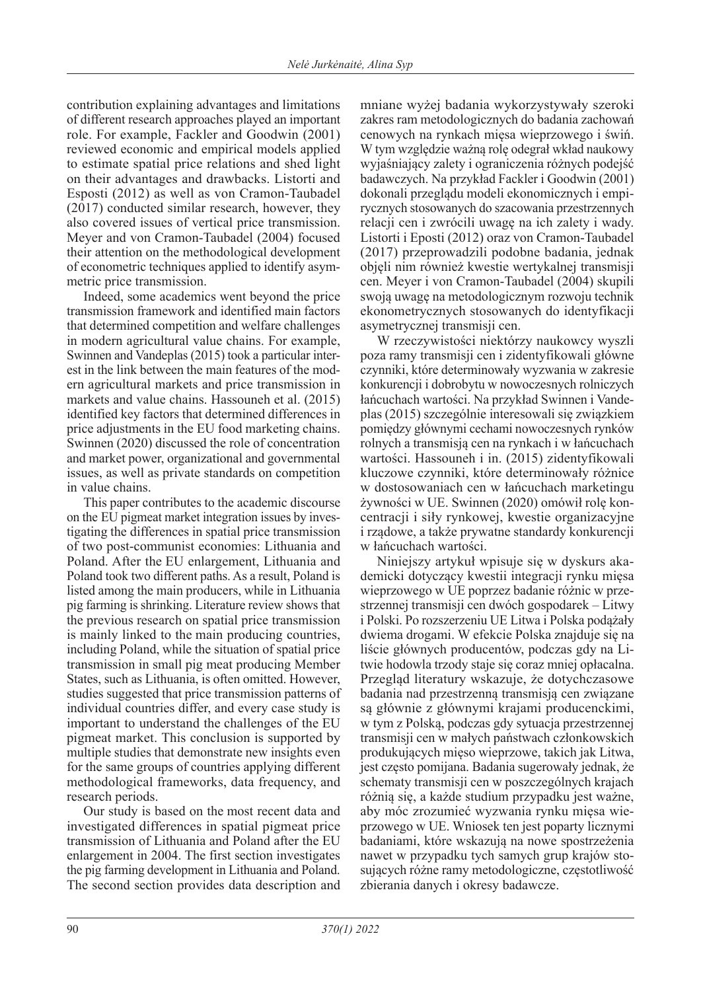contribution explaining advantages and limitations of different research approaches played an important role. For example, Fackler and Goodwin (2001) reviewed economic and empirical models applied to estimate spatial price relations and shed light on their advantages and drawbacks. Listorti and Esposti (2012) as well as von Cramon-Taubadel (2017) conducted similar research, however, they also covered issues of vertical price transmission. Meyer and von Cramon-Taubadel (2004) focused their attention on the methodological development of econometric techniques applied to identify asymmetric price transmission.

Indeed, some academics went beyond the price transmission framework and identified main factors that determined competition and welfare challenges in modern agricultural value chains. For example, Swinnen and Vandeplas (2015) took a particular interest in the link between the main features of the modern agricultural markets and price transmission in markets and value chains. Hassouneh et al. (2015) identified key factors that determined differences in price adjustments in the EU food marketing chains. Swinnen (2020) discussed the role of concentration and market power, organizational and governmental issues, as well as private standards on competition in value chains.

This paper contributes to the academic discourse on the EU pigmeat market integration issues by investigating the differences in spatial price transmission of two post-communist economies: Lithuania and Poland. After the EU enlargement, Lithuania and Poland took two different paths. As a result, Poland is listed among the main producers, while in Lithuania pig farming is shrinking. Literature review shows that the previous research on spatial price transmission is mainly linked to the main producing countries, including Poland, while the situation of spatial price transmission in small pig meat producing Member States, such as Lithuania, is often omitted. However, studies suggested that price transmission patterns of individual countries differ, and every case study is important to understand the challenges of the EU pigmeat market. This conclusion is supported by multiple studies that demonstrate new insights even for the same groups of countries applying different methodological frameworks, data frequency, and research periods.

Our study is based on the most recent data and investigated differences in spatial pigmeat price transmission of Lithuania and Poland after the EU enlargement in 2004. The first section investigates the pig farming development in Lithuania and Poland. The second section provides data description and mniane wyżej badania wykorzystywały szeroki zakres ram metodologicznych do badania zachowań cenowych na rynkach mięsa wieprzowego i świń. W tym względzie ważną rolę odegrał wkład naukowy wyjaśniający zalety i ograniczenia różnych podejść badawczych. Na przykład Fackler i Goodwin (2001) dokonali przeglądu modeli ekonomicznych i empirycznych stosowanych do szacowania przestrzennych relacji cen i zwrócili uwagę na ich zalety i wady. Listorti i Eposti (2012) oraz von Cramon-Taubadel (2017) przeprowadzili podobne badania, jednak objęli nim również kwestie wertykalnej transmisji cen. Meyer i von Cramon-Taubadel (2004) skupili swoją uwagę na metodologicznym rozwoju technik ekonometrycznych stosowanych do identyfikacji asymetrycznej transmisji cen.

W rzeczywistości niektórzy naukowcy wyszli poza ramy transmisji cen i zidentyfikowali główne czynniki, które determinowały wyzwania w zakresie konkurencji i dobrobytu w nowoczesnych rolniczych łańcuchach wartości. Na przykład Swinnen i Vandeplas (2015) szczególnie interesowali się związkiem pomiędzy głównymi cechami nowoczesnych rynków rolnych a transmisją cen na rynkach i w łańcuchach wartości. Hassouneh i in. (2015) zidentyfikowali kluczowe czynniki, które determinowały różnice w dostosowaniach cen w łańcuchach marketingu żywności w UE. Swinnen (2020) omówił rolę koncentracji i siły rynkowej, kwestie organizacyjne i rządowe, a także prywatne standardy konkurencji w łańcuchach wartości.

Niniejszy artykuł wpisuje się w dyskurs akademicki dotyczący kwestii integracji rynku mięsa wieprzowego w UE poprzez badanie różnic w przestrzennej transmisji cen dwóch gospodarek – Litwy i Polski. Po rozszerzeniu UE Litwa i Polska podążały dwiema drogami. W efekcie Polska znajduje się na liście głównych producentów, podczas gdy na Litwie hodowla trzody staje się coraz mniej opłacalna. Przegląd literatury wskazuje, że dotychczasowe badania nad przestrzenną transmisją cen związane są głównie z głównymi krajami producenckimi, w tym z Polską, podczas gdy sytuacja przestrzennej transmisji cen w małych państwach członkowskich produkujących mięso wieprzowe, takich jak Litwa, jest często pomijana. Badania sugerowały jednak, że schematy transmisji cen w poszczególnych krajach różnią się, a każde studium przypadku jest ważne, aby móc zrozumieć wyzwania rynku mięsa wieprzowego w UE. Wniosek ten jest poparty licznymi badaniami, które wskazują na nowe spostrzeżenia nawet w przypadku tych samych grup krajów stosujących różne ramy metodologiczne, częstotliwość zbierania danych i okresy badawcze.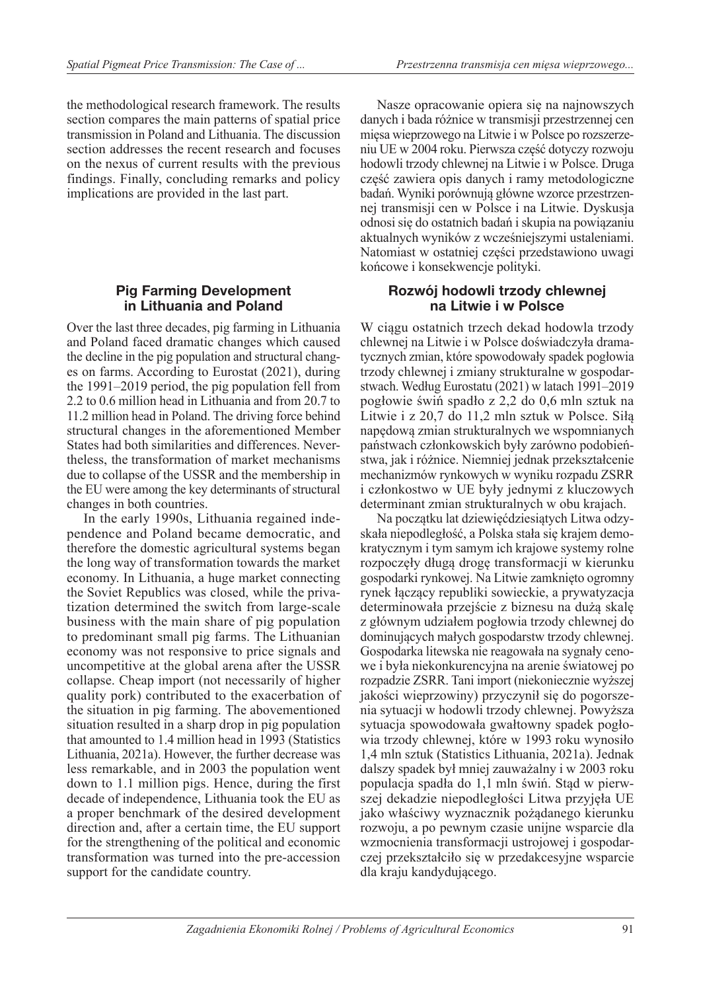the methodological research framework. The results section compares the main patterns of spatial price transmission in Poland and Lithuania. The discussion section addresses the recent research and focuses on the nexus of current results with the previous findings. Finally, concluding remarks and policy implications are provided in the last part.

### **Pig Farming Development in Lithuania and Poland**

Over the last three decades, pig farming in Lithuania and Poland faced dramatic changes which caused the decline in the pig population and structural changes on farms. According to Eurostat (2021), during the 1991–2019 period, the pig population fell from 2.2 to 0.6 million head in Lithuania and from 20.7 to 11.2 million head in Poland. The driving force behind structural changes in the aforementioned Member States had both similarities and differences. Nevertheless, the transformation of market mechanisms due to collapse of the USSR and the membership in the EU were among the key determinants of structural changes in both countries.

In the early 1990s, Lithuania regained independence and Poland became democratic, and therefore the domestic agricultural systems began the long way of transformation towards the market economy. In Lithuania, a huge market connecting the Soviet Republics was closed, while the privatization determined the switch from large-scale business with the main share of pig population to predominant small pig farms. The Lithuanian economy was not responsive to price signals and uncompetitive at the global arena after the USSR collapse. Cheap import (not necessarily of higher quality pork) contributed to the exacerbation of the situation in pig farming. The abovementioned situation resulted in a sharp drop in pig population that amounted to 1.4 million head in 1993 (Statistics Lithuania, 2021a). However, the further decrease was less remarkable, and in 2003 the population went down to 1.1 million pigs. Hence, during the first decade of independence, Lithuania took the EU as a proper benchmark of the desired development direction and, after a certain time, the EU support for the strengthening of the political and economic transformation was turned into the pre-accession support for the candidate country.

Nasze opracowanie opiera się na najnowszych danych i bada różnice w transmisji przestrzennej cen mięsa wieprzowego na Litwie i w Polsce po rozszerzeniu UE w 2004 roku. Pierwsza część dotyczy rozwoju hodowli trzody chlewnej na Litwie i w Polsce. Druga część zawiera opis danych i ramy metodologiczne badań. Wyniki porównują główne wzorce przestrzennej transmisji cen w Polsce i na Litwie. Dyskusja odnosi się do ostatnich badań i skupia na powiązaniu aktualnych wyników z wcześniejszymi ustaleniami. Natomiast w ostatniej części przedstawiono uwagi końcowe i konsekwencje polityki.

### **Rozwój hodowli trzody chlewnej na Litwie i w Polsce**

W ciągu ostatnich trzech dekad hodowla trzody chlewnej na Litwie i w Polsce doświadczyła dramatycznych zmian, które spowodowały spadek pogłowia trzody chlewnej i zmiany strukturalne w gospodarstwach. Według Eurostatu (2021) w latach 1991–2019 pogłowie świń spadło z 2,2 do 0,6 mln sztuk na Litwie i z 20,7 do 11,2 mln sztuk w Polsce. Siłą napędową zmian strukturalnych we wspomnianych państwach członkowskich były zarówno podobieństwa, jak i różnice. Niemniej jednak przekształcenie mechanizmów rynkowych w wyniku rozpadu ZSRR i członkostwo w UE były jednymi z kluczowych determinant zmian strukturalnych w obu krajach.

Na początku lat dziewięćdziesiątych Litwa odzyskała niepodległość, a Polska stała się krajem demokratycznym i tym samym ich krajowe systemy rolne rozpoczęły długą drogę transformacji w kierunku gospodarki rynkowej. Na Litwie zamknięto ogromny rynek łączący republiki sowieckie, a prywatyzacja determinowała przejście z biznesu na dużą skalę z głównym udziałem pogłowia trzody chlewnej do dominujących małych gospodarstw trzody chlewnej. Gospodarka litewska nie reagowała na sygnały cenowe i była niekonkurencyjna na arenie światowej po rozpadzie ZSRR. Tani import (niekoniecznie wyższej jakości wieprzowiny) przyczynił się do pogorszenia sytuacji w hodowli trzody chlewnej. Powyższa sytuacja spowodowała gwałtowny spadek pogłowia trzody chlewnej, które w 1993 roku wynosiło 1,4 mln sztuk (Statistics Lithuania, 2021a). Jednak dalszy spadek był mniej zauważalny i w 2003 roku populacja spadła do 1,1 mln świń. Stąd w pierwszej dekadzie niepodległości Litwa przyjęła UE jako właściwy wyznacznik pożądanego kierunku rozwoju, a po pewnym czasie unijne wsparcie dla wzmocnienia transformacji ustrojowej i gospodarczej przekształciło się w przedakcesyjne wsparcie dla kraju kandydującego.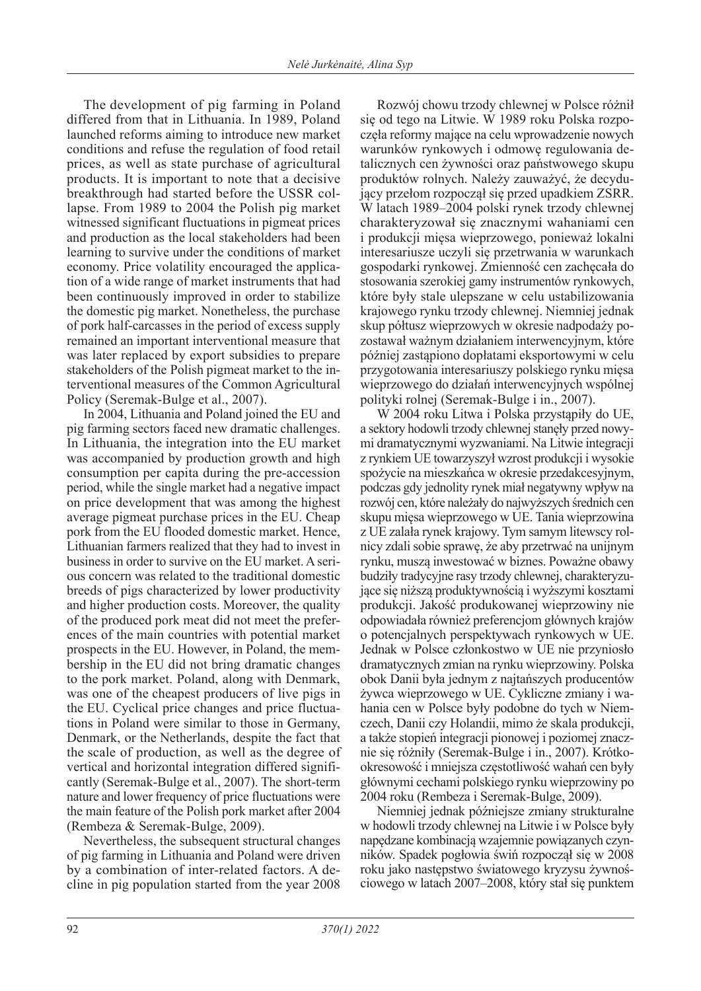The development of pig farming in Poland differed from that in Lithuania. In 1989, Poland launched reforms aiming to introduce new market conditions and refuse the regulation of food retail prices, as well as state purchase of agricultural products. It is important to note that a decisive breakthrough had started before the USSR collapse. From 1989 to 2004 the Polish pig market witnessed significant fluctuations in pigmeat prices and production as the local stakeholders had been learning to survive under the conditions of market economy. Price volatility encouraged the application of a wide range of market instruments that had been continuously improved in order to stabilize the domestic pig market. Nonetheless, the purchase of pork half-carcasses in the period of excess supply remained an important interventional measure that was later replaced by export subsidies to prepare stakeholders of the Polish pigmeat market to the interventional measures of the Common Agricultural Policy (Seremak-Bulge et al., 2007).

In 2004, Lithuania and Poland joined the EU and pig farming sectors faced new dramatic challenges. In Lithuania, the integration into the EU market was accompanied by production growth and high consumption per capita during the pre-accession period, while the single market had a negative impact on price development that was among the highest average pigmeat purchase prices in the EU. Cheap pork from the EU flooded domestic market. Hence, Lithuanian farmers realized that they had to invest in business in order to survive on the EU market. A serious concern was related to the traditional domestic breeds of pigs characterized by lower productivity and higher production costs. Moreover, the quality of the produced pork meat did not meet the preferences of the main countries with potential market prospects in the EU. However, in Poland, the membership in the EU did not bring dramatic changes to the pork market. Poland, along with Denmark, was one of the cheapest producers of live pigs in the EU. Cyclical price changes and price fluctuations in Poland were similar to those in Germany, Denmark, or the Netherlands, despite the fact that the scale of production, as well as the degree of vertical and horizontal integration differed significantly (Seremak-Bulge et al., 2007). The short-term nature and lower frequency of price fluctuations were the main feature of the Polish pork market after 2004 (Rembeza & Seremak-Bulge, 2009).

Nevertheless, the subsequent structural changes of pig farming in Lithuania and Poland were driven by a combination of inter-related factors. A decline in pig population started from the year 2008

Rozwój chowu trzody chlewnej w Polsce różnił się od tego na Litwie. W 1989 roku Polska rozpoczęła reformy mające na celu wprowadzenie nowych warunków rynkowych i odmowę regulowania detalicznych cen żywności oraz państwowego skupu produktów rolnych. Należy zauważyć, że decydujący przełom rozpoczął się przed upadkiem ZSRR. W latach 1989–2004 polski rynek trzody chlewnej charakteryzował się znacznymi wahaniami cen i produkcji mięsa wieprzowego, ponieważ lokalni interesariusze uczyli się przetrwania w warunkach gospodarki rynkowej. Zmienność cen zachęcała do stosowania szerokiej gamy instrumentów rynkowych, które były stale ulepszane w celu ustabilizowania krajowego rynku trzody chlewnej. Niemniej jednak skup półtusz wieprzowych w okresie nadpodaży pozostawał ważnym działaniem interwencyjnym, które później zastąpiono dopłatami eksportowymi w celu przygotowania interesariuszy polskiego rynku mięsa wieprzowego do działań interwencyjnych wspólnej polityki rolnej (Seremak-Bulge i in., 2007).

W 2004 roku Litwa i Polska przystąpiły do UE, a sektory hodowli trzody chlewnej stanęły przed nowymi dramatycznymi wyzwaniami. Na Litwie integracji z rynkiem UE towarzyszył wzrost produkcji i wysokie spożycie na mieszkańca w okresie przedakcesyjnym, podczas gdy jednolity rynek miał negatywny wpływ na rozwój cen, które należały do najwyższych średnich cen skupu mięsa wieprzowego w UE. Tania wieprzowina z UE zalała rynek krajowy. Tym samym litewscy rolnicy zdali sobie sprawę, że aby przetrwać na unijnym rynku, muszą inwestować w biznes. Poważne obawy budziły tradycyjne rasy trzody chlewnej, charakteryzujące się niższą produktywnością i wyższymi kosztami produkcji. Jakość produkowanej wieprzowiny nie odpowiadała również preferencjom głównych krajów o potencjalnych perspektywach rynkowych w UE. Jednak w Polsce członkostwo w UE nie przyniosło dramatycznych zmian na rynku wieprzowiny. Polska obok Danii była jednym z najtańszych producentów żywca wieprzowego w UE. Cykliczne zmiany i wahania cen w Polsce były podobne do tych w Niemczech, Danii czy Holandii, mimo że skala produkcji, a także stopień integracji pionowej i poziomej znacznie się różniły (Seremak-Bulge i in., 2007). Krótkookresowość i mniejsza częstotliwość wahań cen były głównymi cechami polskiego rynku wieprzowiny po 2004 roku (Rembeza i Seremak-Bulge, 2009).

Niemniej jednak późniejsze zmiany strukturalne w hodowli trzody chlewnej na Litwie i w Polsce były napędzane kombinacją wzajemnie powiązanych czynników. Spadek pogłowia świń rozpoczął się w 2008 roku jako następstwo światowego kryzysu żywnościowego w latach 2007–2008, który stał się punktem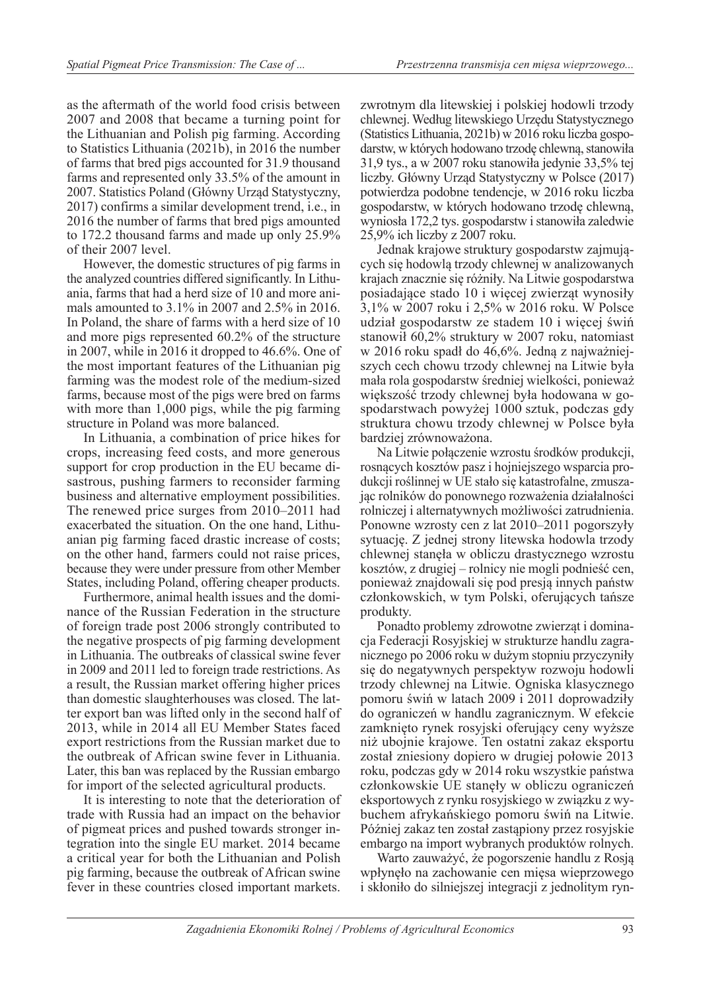as the aftermath of the world food crisis between 2007 and 2008 that became a turning point for the Lithuanian and Polish pig farming. According to Statistics Lithuania (2021b), in 2016 the number of farms that bred pigs accounted for 31.9 thousand farms and represented only 33.5% of the amount in 2007. Statistics Poland (Główny Urząd Statystyczny, 2017) confirms a similar development trend, i.e., in 2016 the number of farms that bred pigs amounted to 172.2 thousand farms and made up only 25.9% of their 2007 level.

However, the domestic structures of pig farms in the analyzed countries differed significantly. In Lithuania, farms that had a herd size of 10 and more animals amounted to 3.1% in 2007 and 2.5% in 2016. In Poland, the share of farms with a herd size of 10 and more pigs represented 60.2% of the structure in 2007, while in 2016 it dropped to 46.6%. One of the most important features of the Lithuanian pig farming was the modest role of the medium-sized farms, because most of the pigs were bred on farms with more than 1,000 pigs, while the pig farming structure in Poland was more balanced.

In Lithuania, a combination of price hikes for crops, increasing feed costs, and more generous support for crop production in the EU became disastrous, pushing farmers to reconsider farming business and alternative employment possibilities. The renewed price surges from 2010–2011 had exacerbated the situation. On the one hand, Lithuanian pig farming faced drastic increase of costs; on the other hand, farmers could not raise prices, because they were under pressure from other Member States, including Poland, offering cheaper products.

Furthermore, animal health issues and the dominance of the Russian Federation in the structure of foreign trade post 2006 strongly contributed to the negative prospects of pig farming development in Lithuania. The outbreaks of classical swine fever in 2009 and 2011 led to foreign trade restrictions. As a result, the Russian market offering higher prices than domestic slaughterhouses was closed. The latter export ban was lifted only in the second half of 2013, while in 2014 all EU Member States faced export restrictions from the Russian market due to the outbreak of African swine fever in Lithuania. Later, this ban was replaced by the Russian embargo for import of the selected agricultural products.

It is interesting to note that the deterioration of trade with Russia had an impact on the behavior of pigmeat prices and pushed towards stronger integration into the single EU market. 2014 became a critical year for both the Lithuanian and Polish pig farming, because the outbreak of African swine fever in these countries closed important markets.

zwrotnym dla litewskiej i polskiej hodowli trzody chlewnej. Według litewskiego Urzędu Statystycznego (Statistics Lithuania, 2021b) w 2016 roku liczba gospodarstw, w których hodowano trzodę chlewną, stanowiła 31,9 tys., a w 2007 roku stanowiła jedynie 33,5% tej liczby. Główny Urząd Statystyczny w Polsce (2017) potwierdza podobne tendencje, w 2016 roku liczba gospodarstw, w których hodowano trzodę chlewną, wyniosła 172,2 tys. gospodarstw i stanowiła zaledwie 25,9% ich liczby z 2007 roku.

Jednak krajowe struktury gospodarstw zajmujących się hodowlą trzody chlewnej w analizowanych krajach znacznie się różniły. Na Litwie gospodarstwa posiadające stado 10 i więcej zwierząt wynosiły 3,1% w 2007 roku i 2,5% w 2016 roku. W Polsce udział gospodarstw ze stadem 10 i więcej świń stanowił 60,2% struktury w 2007 roku, natomiast w 2016 roku spadł do 46,6%. Jedną z najważniejszych cech chowu trzody chlewnej na Litwie była mała rola gospodarstw średniej wielkości, ponieważ większość trzody chlewnej była hodowana w gospodarstwach powyżej 1000 sztuk, podczas gdy struktura chowu trzody chlewnej w Polsce była bardziej zrównoważona.

Na Litwie połączenie wzrostu środków produkcji, rosnących kosztów pasz i hojniejszego wsparcia produkcji roślinnej w UE stało się katastrofalne, zmuszając rolników do ponownego rozważenia działalności rolniczej i alternatywnych możliwości zatrudnienia. Ponowne wzrosty cen z lat 2010–2011 pogorszyły sytuację. Z jednej strony litewska hodowla trzody chlewnej stanęła w obliczu drastycznego wzrostu kosztów, z drugiej – rolnicy nie mogli podnieść cen, ponieważ znajdowali się pod presją innych państw członkowskich, w tym Polski, oferujących tańsze produkty.

Ponadto problemy zdrowotne zwierząt i dominacja Federacji Rosyjskiej w strukturze handlu zagranicznego po 2006 roku w dużym stopniu przyczyniły się do negatywnych perspektyw rozwoju hodowli trzody chlewnej na Litwie. Ogniska klasycznego pomoru świń w latach 2009 i 2011 doprowadziły do ograniczeń w handlu zagranicznym. W efekcie zamknięto rynek rosyjski oferujący ceny wyższe niż ubojnie krajowe. Ten ostatni zakaz eksportu został zniesiony dopiero w drugiej połowie 2013 roku, podczas gdy w 2014 roku wszystkie państwa członkowskie UE stanęły w obliczu ograniczeń eksportowych z rynku rosyjskiego w związku z wybuchem afrykańskiego pomoru świń na Litwie. Później zakaz ten został zastąpiony przez rosyjskie embargo na import wybranych produktów rolnych.

Warto zauważyć, że pogorszenie handlu z Rosją wpłynęło na zachowanie cen mięsa wieprzowego i skłoniło do silniejszej integracji z jednolitym ryn-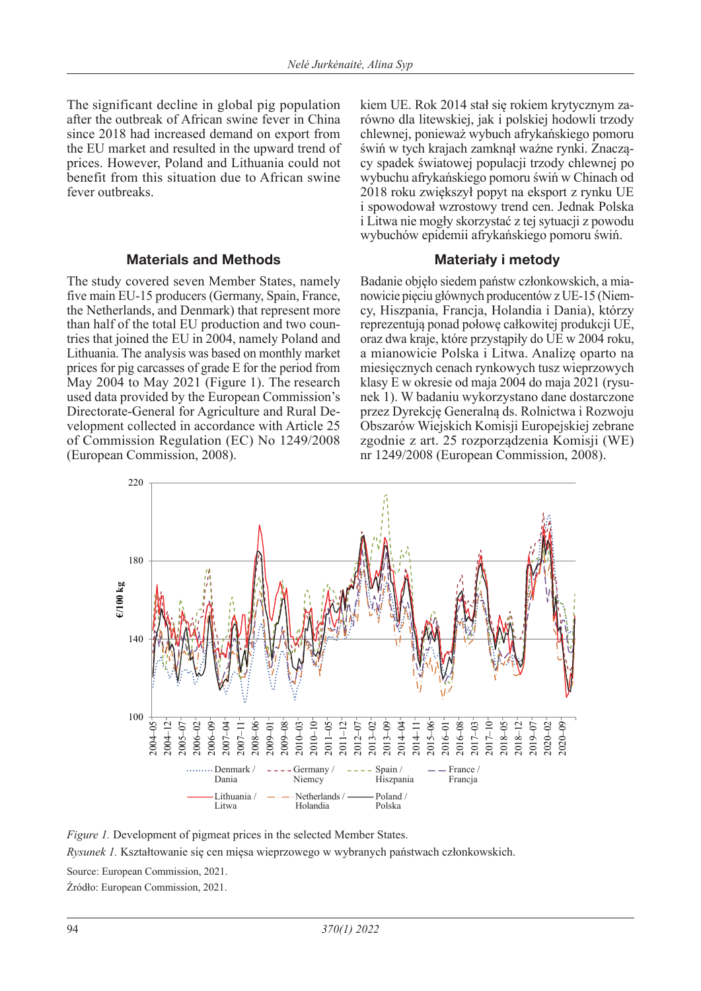The significant decline in global pig population after the outbreak of African swine fever in China since 2018 had increased demand on export from the EU market and resulted in the upward trend of prices. However, Poland and Lithuania could not benefit from this situation due to African swine fever outbreaks.

### **Materials and Methods**

The study covered seven Member States, namely five main EU-15 producers (Germany, Spain, France, the Netherlands, and Denmark) that represent more than half of the total EU production and two countries that joined the EU in 2004, namely Poland and Lithuania. The analysis was based on monthly market prices for pig carcasses of grade E for the period from May 2004 to May 2021 (Figure 1). The research used data provided by the European Commission's Directorate-General for Agriculture and Rural Development collected in accordance with Article 25 of Commission Regulation (EC) No 1249/2008 (European Commission, 2008).

kiem UE. Rok 2014 stał się rokiem krytycznym zarówno dla litewskiej, jak i polskiej hodowli trzody chlewnej, ponieważ wybuch afrykańskiego pomoru świń w tych krajach zamknął ważne rynki. Znaczący spadek światowej populacji trzody chlewnej po wybuchu afrykańskiego pomoru świń w Chinach od 2018 roku zwiększył popyt na eksport z rynku UE i spowodował wzrostowy trend cen. Jednak Polska i Litwa nie mogły skorzystać z tej sytuacji z powodu wybuchów epidemii afrykańskiego pomoru świń.

## **Materiały i metody**

Badanie objęło siedem państw członkowskich, a mianowicie pięciu głównych producentów z UE-15 (Niemcy, Hiszpania, Francja, Holandia i Dania), którzy reprezentują ponad połowę całkowitej produkcji UE, oraz dwa kraje, które przystąpiły do UE w 2004 roku, a mianowicie Polska i Litwa. Analizę oparto na miesięcznych cenach rynkowych tusz wieprzowych klasy E w okresie od maja 2004 do maja 2021 (rysunek 1). W badaniu wykorzystano dane dostarczone przez Dyrekcję Generalną ds. Rolnictwa i Rozwoju Obszarów Wiejskich Komisji Europejskiej zebrane zgodnie z art. 25 rozporządzenia Komisji (WE) nr 1249/2008 (European Commission, 2008).



*Figure 1.* Development of pigmeat prices in the selected Member States. *Rysunek 1.* Kształtowanie się cen mięsa wieprzowego w wybranych państwach członkowskich. Source: European Commission, 2021. Źródło: European Commission, 2021.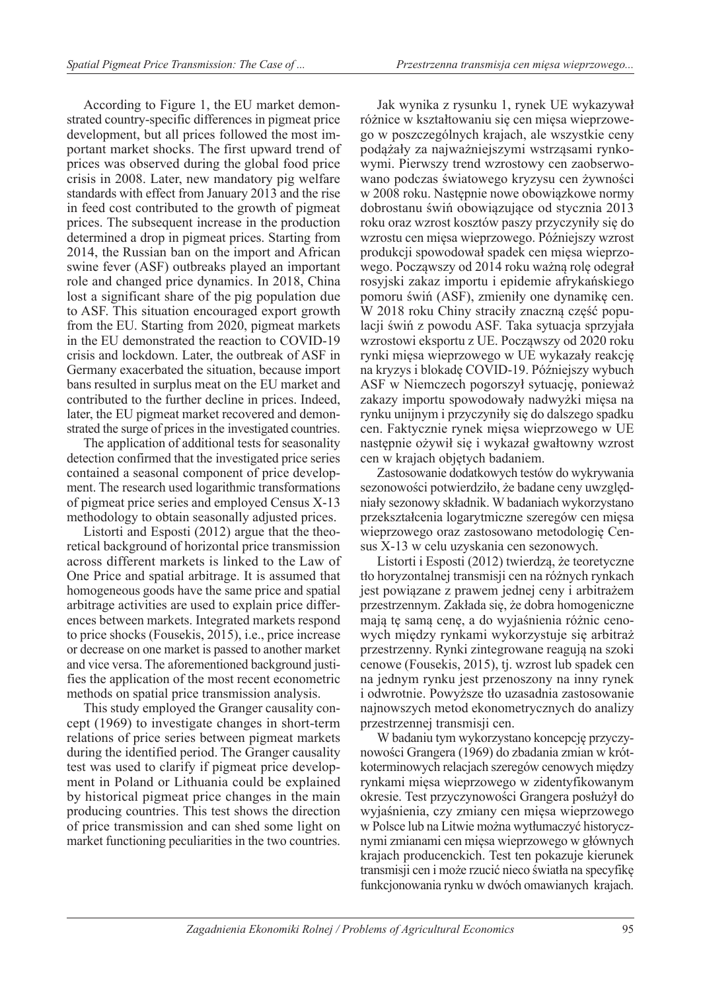According to Figure 1, the EU market demonstrated country-specific differences in pigmeat price development, but all prices followed the most important market shocks. The first upward trend of prices was observed during the global food price crisis in 2008. Later, new mandatory pig welfare standards with effect from January 2013 and the rise in feed cost contributed to the growth of pigmeat prices. The subsequent increase in the production determined a drop in pigmeat prices. Starting from 2014, the Russian ban on the import and African swine fever (ASF) outbreaks played an important role and changed price dynamics. In 2018, China lost a significant share of the pig population due to ASF. This situation encouraged export growth from the EU. Starting from 2020, pigmeat markets in the EU demonstrated the reaction to COVID-19 crisis and lockdown. Later, the outbreak of ASF in Germany exacerbated the situation, because import bans resulted in surplus meat on the EU market and contributed to the further decline in prices. Indeed, later, the EU pigmeat market recovered and demonstrated the surge of prices in the investigated countries.

The application of additional tests for seasonality detection confirmed that the investigated price series contained a seasonal component of price development. The research used logarithmic transformations of pigmeat price series and employed Census X-13 methodology to obtain seasonally adjusted prices.

Listorti and Esposti (2012) argue that the theoretical background of horizontal price transmission across different markets is linked to the Law of One Price and spatial arbitrage. It is assumed that homogeneous goods have the same price and spatial arbitrage activities are used to explain price differences between markets. Integrated markets respond to price shocks (Fousekis, 2015), i.e., price increase or decrease on one market is passed to another market and vice versa. The aforementioned background justifies the application of the most recent econometric methods on spatial price transmission analysis.

This study employed the Granger causality concept (1969) to investigate changes in short-term relations of price series between pigmeat markets during the identified period. The Granger causality test was used to clarify if pigmeat price development in Poland or Lithuania could be explained by historical pigmeat price changes in the main producing countries. This test shows the direction of price transmission and can shed some light on market functioning peculiarities in the two countries.

Jak wynika z rysunku 1, rynek UE wykazywał różnice w kształtowaniu się cen mięsa wieprzowego w poszczególnych krajach, ale wszystkie ceny podążały za najważniejszymi wstrząsami rynkowymi. Pierwszy trend wzrostowy cen zaobserwowano podczas światowego kryzysu cen żywności w 2008 roku. Następnie nowe obowiązkowe normy dobrostanu świń obowiązujące od stycznia 2013 roku oraz wzrost kosztów paszy przyczyniły się do wzrostu cen mięsa wieprzowego. Późniejszy wzrost produkcji spowodował spadek cen mięsa wieprzowego. Począwszy od 2014 roku ważną rolę odegrał rosyjski zakaz importu i epidemie afrykańskiego pomoru świń (ASF), zmieniły one dynamikę cen. W 2018 roku Chiny straciły znaczną część populacji świń z powodu ASF. Taka sytuacja sprzyjała wzrostowi eksportu z UE. Począwszy od 2020 roku rynki mięsa wieprzowego w UE wykazały reakcję na kryzys i blokadę COVID-19. Późniejszy wybuch ASF w Niemczech pogorszył sytuację, ponieważ zakazy importu spowodowały nadwyżki mięsa na rynku unijnym i przyczyniły się do dalszego spadku cen. Faktycznie rynek mięsa wieprzowego w UE następnie ożywił się i wykazał gwałtowny wzrost cen w krajach objętych badaniem.

Zastosowanie dodatkowych testów do wykrywania sezonowości potwierdziło, że badane ceny uwzględniały sezonowy składnik. W badaniach wykorzystano przekształcenia logarytmiczne szeregów cen mięsa wieprzowego oraz zastosowano metodologię Census X-13 w celu uzyskania cen sezonowych.

Listorti i Esposti (2012) twierdzą, że teoretyczne tło horyzontalnej transmisji cen na różnych rynkach jest powiązane z prawem jednej ceny i arbitrażem przestrzennym. Zakłada się, że dobra homogeniczne mają tę samą cenę, a do wyjaśnienia różnic cenowych między rynkami wykorzystuje się arbitraż przestrzenny. Rynki zintegrowane reagują na szoki cenowe (Fousekis, 2015), tj. wzrost lub spadek cen na jednym rynku jest przenoszony na inny rynek i odwrotnie. Powyższe tło uzasadnia zastosowanie najnowszych metod ekonometrycznych do analizy przestrzennej transmisji cen.

W badaniu tym wykorzystano koncepcję przyczynowości Grangera (1969) do zbadania zmian w krótkoterminowych relacjach szeregów cenowych między rynkami mięsa wieprzowego w zidentyfikowanym okresie. Test przyczynowości Grangera posłużył do wyjaśnienia, czy zmiany cen mięsa wieprzowego w Polsce lub na Litwie można wytłumaczyć historycznymi zmianami cen mięsa wieprzowego w głównych krajach producenckich. Test ten pokazuje kierunek transmisji cen i może rzucić nieco światła na specyfikę funkcjonowania rynku w dwóch omawianych krajach.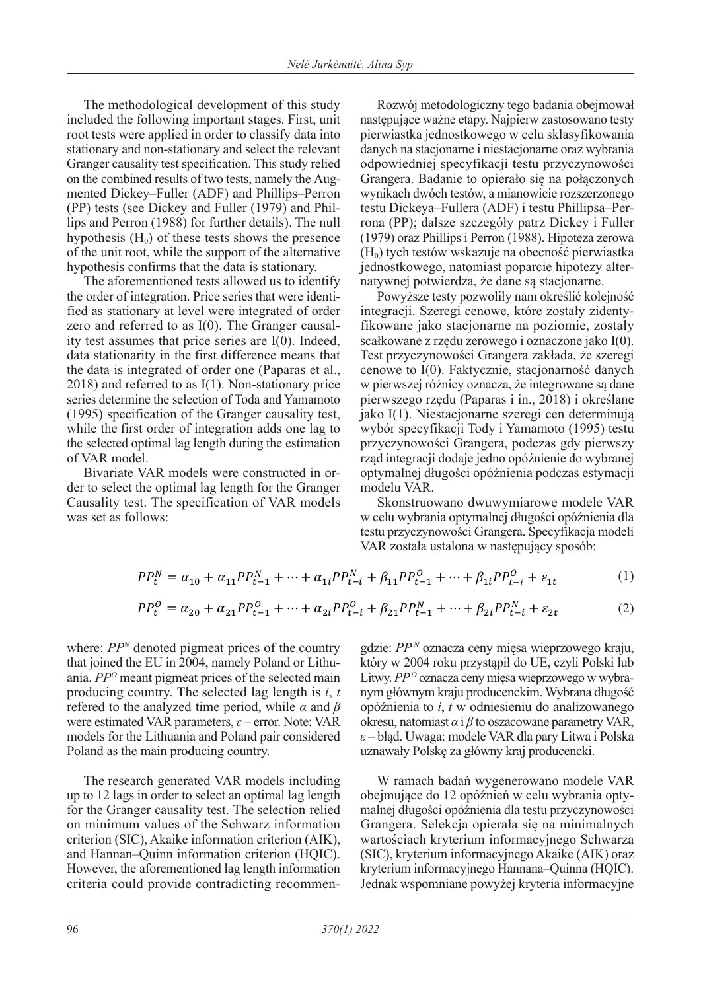The methodological development of this study included the following important stages. First, unit root tests were applied in order to classify data into stationary and non-stationary and select the relevant Granger causality test specification. This study relied on the combined results of two tests, namely the Augmented Dickey–Fuller (ADF) and Phillips–Perron (PP) tests (see Dickey and Fuller (1979) and Phillips and Perron (1988) for further details). The null hypothesis  $(H_0)$  of these tests shows the presence of the unit root, while the support of the alternative hypothesis confirms that the data is stationary.

The aforementioned tests allowed us to identify the order of integration. Price series that were identified as stationary at level were integrated of order zero and referred to as I(0). The Granger causality test assumes that price series are I(0). Indeed, data stationarity in the first difference means that the data is integrated of order one (Paparas et al., 2018) and referred to as I(1). Non-stationary price series determine the selection of Toda and Yamamoto (1995) specification of the Granger causality test, while the first order of integration adds one lag to the selected optimal lag length during the estimation of VAR model.

Bivariate VAR models were constructed in order to select the optimal lag length for the Granger Causality test. The specification of VAR models was set as follows:

Rozwój metodologiczny tego badania obejmował następujące ważne etapy. Najpierw zastosowano testy pierwiastka jednostkowego w celu sklasyfikowania danych na stacjonarne i niestacjonarne oraz wybrania odpowiedniej specyfikacji testu przyczynowości Grangera. Badanie to opierało się na połączonych wynikach dwóch testów, a mianowicie rozszerzonego testu Dickeya–Fullera (ADF) i testu Phillipsa–Perrona (PP); dalsze szczegóły patrz Dickey i Fuller (1979) oraz Phillips i Perron (1988). Hipoteza zerowa  $(H<sub>0</sub>)$  tych testów wskazuje na obecność pierwiastka jednostkowego, natomiast poparcie hipotezy alternatywnej potwierdza, że dane są stacjonarne.

Powyższe testy pozwoliły nam określić kolejność integracji. Szeregi cenowe, które zostały zidentyfikowane jako stacjonarne na poziomie, zostały scałkowane z rzędu zerowego i oznaczone jako I(0). Test przyczynowości Grangera zakłada, że szeregi cenowe to I(0). Faktycznie, stacjonarność danych w pierwszej różnicy oznacza, że integrowane są dane pierwszego rzędu (Paparas i in., 2018) i określane jako I(1). Niestacjonarne szeregi cen determinują wybór specyfikacji Tody i Yamamoto (1995) testu przyczynowości Grangera, podczas gdy pierwszy rząd integracji dodaje jedno opóźnienie do wybranej optymalnej długości opóźnienia podczas estymacji modelu VAR.

Skonstruowano dwuwymiarowe modele VAR w celu wybrania optymalnej długości opóźnienia dla testu przyczynowości Grangera. Specyfikacja modeli VAR została ustalona w następujący sposób:

$$
PP_t^N = \alpha_{10} + \alpha_{11} PP_{t-1}^N + \dots + \alpha_{1i} PP_{t-i}^N + \beta_{11} PP_{t-1}^O + \dots + \beta_{1i} PP_{t-i}^O + \varepsilon_{1t}
$$
 (1)

$$
PP_t^0 = \alpha_{20} + \alpha_{21} PP_{t-1}^0 + \dots + \alpha_{2i} PP_{t-i}^0 + \beta_{21} PP_{t-1}^N + \dots + \beta_{2i} PP_{t-i}^N + \varepsilon_{2t}
$$
 (2)

where: *PP<sup>N</sup>* denoted pigmeat prices of the country that joined the EU in 2004, namely Poland or Lithuania. *PPO* meant pigmeat prices of the selected main producing country. The selected lag length is *i*, *t* refered to the analyzed time period, while *α* and *β* were estimated VAR parameters, *ε* – error. Note: VAR models for the Lithuania and Poland pair considered Poland as the main producing country.

The research generated VAR models including up to 12 lags in order to select an optimal lag length for the Granger causality test. The selection relied on minimum values of the Schwarz information criterion (SIC), Akaike information criterion (AIK), and Hannan–Quinn information criterion (HQIC). However, the aforementioned lag length information criteria could provide contradicting recommengdzie: *PP N* oznacza ceny mięsa wieprzowego kraju, który w 2004 roku przystąpił do UE, czyli Polski lub Litwy. *PP<sup>o</sup>* oznacza ceny mięsa wieprzowego w wybranym głównym kraju producenckim. Wybrana długość opóźnienia to *i*, *t* w odniesieniu do analizowanego okresu, natomiast *α* i *β* to oszacowane parametry VAR, *ε* – błąd. Uwaga: modele VAR dla pary Litwa i Polska uznawały Polskę za główny kraj producencki.

W ramach badań wygenerowano modele VAR obejmujące do 12 opóźnień w celu wybrania optymalnej długości opóźnienia dla testu przyczynowości Grangera. Selekcja opierała się na minimalnych wartościach kryterium informacyjnego Schwarza (SIC), kryterium informacyjnego Akaike (AIK) oraz kryterium informacyjnego Hannana–Quinna (HQIC). Jednak wspomniane powyżej kryteria informacyjne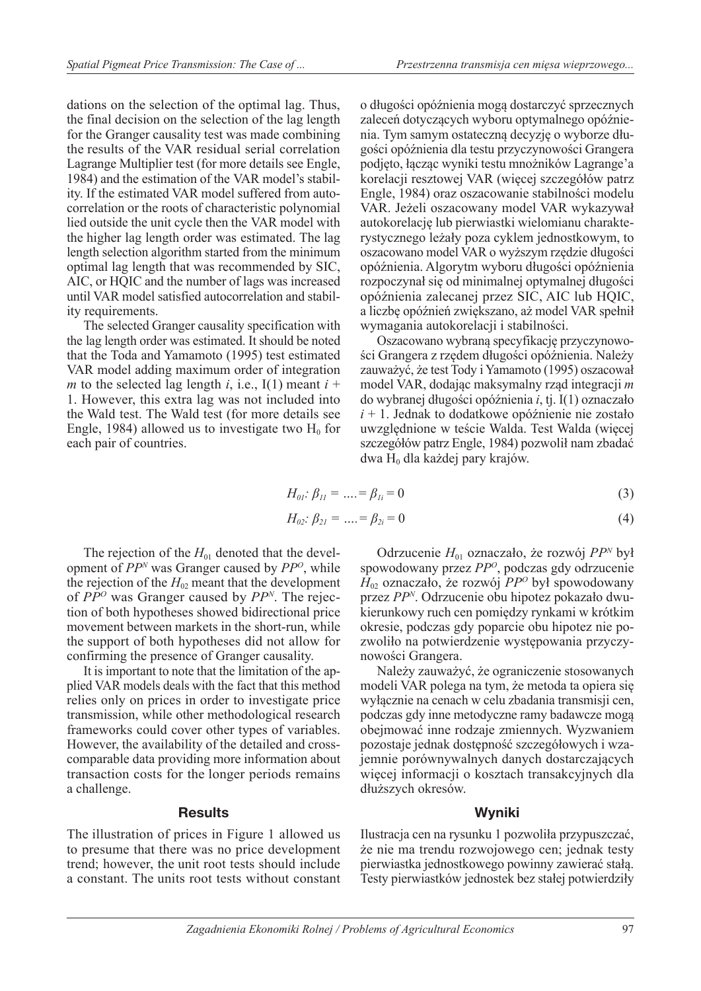dations on the selection of the optimal lag. Thus, the final decision on the selection of the lag length for the Granger causality test was made combining the results of the VAR residual serial correlation Lagrange Multiplier test (for more details see Engle, 1984) and the estimation of the VAR model's stability. If the estimated VAR model suffered from autocorrelation or the roots of characteristic polynomial lied outside the unit cycle then the VAR model with the higher lag length order was estimated. The lag length selection algorithm started from the minimum optimal lag length that was recommended by SIC, AIC, or HQIC and the number of lags was increased until VAR model satisfied autocorrelation and stability requirements.

The selected Granger causality specification with the lag length order was estimated. It should be noted that the Toda and Yamamoto (1995) test estimated VAR model adding maximum order of integration *m* to the selected lag length *i*, i.e.,  $I(1)$  meant  $i +$ 1. However, this extra lag was not included into the Wald test. The Wald test (for more details see Engle, 1984) allowed us to investigate two  $H_0$  for each pair of countries.

o długości opóźnienia mogą dostarczyć sprzecznych zaleceń dotyczących wyboru optymalnego opóźnienia. Tym samym ostateczną decyzję o wyborze długości opóźnienia dla testu przyczynowości Grangera podjęto, łącząc wyniki testu mnożników Lagrange'a korelacji resztowej VAR (więcej szczegółów patrz Engle, 1984) oraz oszacowanie stabilności modelu VAR. Jeżeli oszacowany model VAR wykazywał autokorelację lub pierwiastki wielomianu charakterystycznego leżały poza cyklem jednostkowym, to oszacowano model VAR o wyższym rzędzie długości opóźnienia. Algorytm wyboru długości opóźnienia rozpoczynał się od minimalnej optymalnej długości opóźnienia zalecanej przez SIC, AIC lub HQIC, a liczbę opóźnień zwiększano, aż model VAR spełnił wymagania autokorelacji i stabilności.

Oszacowano wybraną specyfikację przyczynowości Grangera z rzędem długości opóźnienia. Należy zauważyć, że test Tody i Yamamoto (1995) oszacował model VAR, dodając maksymalny rząd integracji *m* do wybranej długości opóźnienia *i*, tj. I(1) oznaczało *i* + 1. Jednak to dodatkowe opóźnienie nie zostało uwzględnione w teście Walda. Test Walda (więcej szczegółów patrz Engle, 1984) pozwolił nam zbadać dwa  $H_0$  dla każdej pary krajów.

$$
H_{01}: \beta_{11} = \dots = \beta_{1i} = 0 \tag{3}
$$

$$
H_{02}: \beta_{21} = \dots = \beta_{2i} = 0 \tag{4}
$$

The rejection of the  $H<sub>01</sub>$  denoted that the development of *PP<sup>N</sup>* was Granger caused by *PPO*, while the rejection of the  $H_{02}$  meant that the development of *PPO* was Granger caused by *PPN*. The rejection of both hypotheses showed bidirectional price movement between markets in the short-run, while the support of both hypotheses did not allow for confirming the presence of Granger causality.

It is important to note that the limitation of the applied VAR models deals with the fact that this method relies only on prices in order to investigate price transmission, while other methodological research frameworks could cover other types of variables. However, the availability of the detailed and crosscomparable data providing more information about transaction costs for the longer periods remains a challenge.

#### **Results**

The illustration of prices in Figure 1 allowed us to presume that there was no price development trend; however, the unit root tests should include a constant. The units root tests without constant

Odrzucenie *H*01 oznaczało, że rozwój *PP<sup>N</sup>* był spowodowany przez *PPO*, podczas gdy odrzucenie *H*02 oznaczało, że rozwój *PPO* był spowodowany przez *PPN*. Odrzucenie obu hipotez pokazało dwukierunkowy ruch cen pomiędzy rynkami w krótkim okresie, podczas gdy poparcie obu hipotez nie pozwoliło na potwierdzenie występowania przyczynowości Grangera.

Należy zauważyć, że ograniczenie stosowanych modeli VAR polega na tym, że metoda ta opiera się wyłącznie na cenach w celu zbadania transmisji cen, podczas gdy inne metodyczne ramy badawcze mogą obejmować inne rodzaje zmiennych. Wyzwaniem pozostaje jednak dostępność szczegółowych i wzajemnie porównywalnych danych dostarczających więcej informacji o kosztach transakcyjnych dla dłuższych okresów.

### **Wyniki**

Ilustracja cen na rysunku 1 pozwoliła przypuszczać, że nie ma trendu rozwojowego cen; jednak testy pierwiastka jednostkowego powinny zawierać stałą. Testy pierwiastków jednostek bez stałej potwierdziły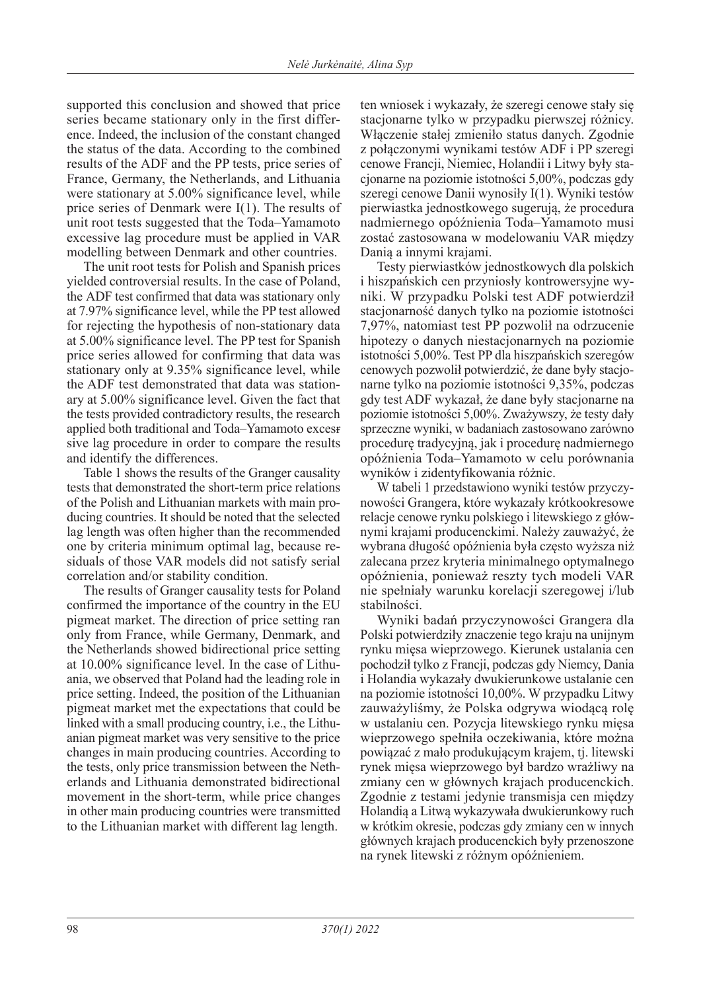supported this conclusion and showed that price series became stationary only in the first difference. Indeed, the inclusion of the constant changed the status of the data. According to the combined results of the ADF and the PP tests, price series of France, Germany, the Netherlands, and Lithuania were stationary at 5.00% significance level, while price series of Denmark were I(1). The results of unit root tests suggested that the Toda–Yamamoto excessive lag procedure must be applied in VAR modelling between Denmark and other countries.

The unit root tests for Polish and Spanish prices yielded controversial results. In the case of Poland, the ADF test confirmed that data was stationary only at 7.97% significance level, while the PP test allowed for rejecting the hypothesis of non-stationary data at 5.00% significance level. The PP test for Spanish price series allowed for confirming that data was stationary only at 9.35% significance level, while the ADF test demonstrated that data was stationary at 5.00% significance level. Given the fact that the tests provided contradictory results, the research applied both traditional and Toda–Yamamoto excess sive lag procedure in order to compare the results and identify the differences.

Table 1 shows the results of the Granger causality tests that demonstrated the short-term price relations of the Polish and Lithuanian markets with main producing countries. It should be noted that the selected lag length was often higher than the recommended one by criteria minimum optimal lag, because residuals of those VAR models did not satisfy serial correlation and/or stability condition.

The results of Granger causality tests for Poland confirmed the importance of the country in the EU pigmeat market. The direction of price setting ran only from France, while Germany, Denmark, and the Netherlands showed bidirectional price setting at 10.00% significance level. In the case of Lithuania, we observed that Poland had the leading role in price setting. Indeed, the position of the Lithuanian pigmeat market met the expectations that could be linked with a small producing country, i.e., the Lithuanian pigmeat market was very sensitive to the price changes in main producing countries. According to the tests, only price transmission between the Netherlands and Lithuania demonstrated bidirectional movement in the short-term, while price changes in other main producing countries were transmitted to the Lithuanian market with different lag length.

ten wniosek i wykazały, że szeregi cenowe stały się stacjonarne tylko w przypadku pierwszej różnicy. Włączenie stałej zmieniło status danych. Zgodnie z połączonymi wynikami testów ADF i PP szeregi cenowe Francji, Niemiec, Holandii i Litwy były stacjonarne na poziomie istotności 5,00%, podczas gdy szeregi cenowe Danii wynosiły I(1). Wyniki testów pierwiastka jednostkowego sugerują, że procedura nadmiernego opóźnienia Toda–Yamamoto musi zostać zastosowana w modelowaniu VAR między Danią a innymi krajami.

Testy pierwiastków jednostkowych dla polskich i hiszpańskich cen przyniosły kontrowersyjne wyniki. W przypadku Polski test ADF potwierdził stacjonarność danych tylko na poziomie istotności 7,97%, natomiast test PP pozwolił na odrzucenie hipotezy o danych niestacjonarnych na poziomie istotności 5,00%. Test PP dla hiszpańskich szeregów cenowych pozwolił potwierdzić, że dane były stacjonarne tylko na poziomie istotności 9,35%, podczas gdy test ADF wykazał, że dane były stacjonarne na poziomie istotności 5,00%. Zważywszy, że testy dały sprzeczne wyniki, w badaniach zastosowano zarówno procedurę tradycyjną, jak i procedurę nadmiernego opóźnienia Toda–Yamamoto w celu porównania wyników i zidentyfikowania różnic.

W tabeli 1 przedstawiono wyniki testów przyczynowości Grangera, które wykazały krótkookresowe relacje cenowe rynku polskiego i litewskiego z głównymi krajami producenckimi. Należy zauważyć, że wybrana długość opóźnienia była często wyższa niż zalecana przez kryteria minimalnego optymalnego opóźnienia, ponieważ reszty tych modeli VAR nie spełniały warunku korelacji szeregowej i/lub stabilności.

Wyniki badań przyczynowości Grangera dla Polski potwierdziły znaczenie tego kraju na unijnym rynku mięsa wieprzowego. Kierunek ustalania cen pochodził tylko z Francji, podczas gdy Niemcy, Dania i Holandia wykazały dwukierunkowe ustalanie cen na poziomie istotności 10,00%. W przypadku Litwy zauważyliśmy, że Polska odgrywa wiodącą rolę w ustalaniu cen. Pozycja litewskiego rynku mięsa wieprzowego spełniła oczekiwania, które można powiązać z mało produkującym krajem, tj. litewski rynek mięsa wieprzowego był bardzo wrażliwy na zmiany cen w głównych krajach producenckich. Zgodnie z testami jedynie transmisja cen między Holandią a Litwą wykazywała dwukierunkowy ruch w krótkim okresie, podczas gdy zmiany cen w innych głównych krajach producenckich były przenoszone na rynek litewski z różnym opóźnieniem.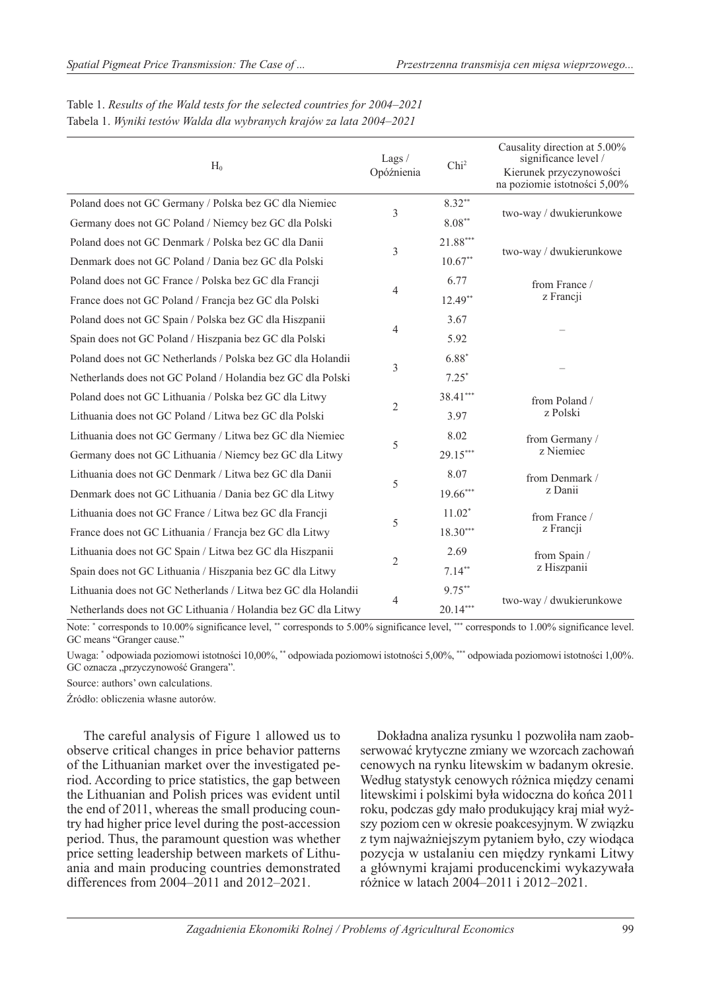| $H_0$                                                         | Lags /<br>Opóźnienia | Chi <sup>2</sup> | Causality direction at 5.00%<br>significance level /<br>Kierunek przyczynowości<br>na poziomie istotności 5,00% |  |
|---------------------------------------------------------------|----------------------|------------------|-----------------------------------------------------------------------------------------------------------------|--|
| Poland does not GC Germany / Polska bez GC dla Niemiec        |                      | $8.32**$         |                                                                                                                 |  |
| Germany does not GC Poland / Niemcy bez GC dla Polski         | 3                    | $8.08**$         | two-way / dwukierunkowe                                                                                         |  |
| Poland does not GC Denmark / Polska bez GC dla Danii          |                      | 21.88***         |                                                                                                                 |  |
| Denmark does not GC Poland / Dania bez GC dla Polski          | 3                    | $10.67**$        | two-way / dwukierunkowe                                                                                         |  |
| Poland does not GC France / Polska bez GC dla Francji         | $\overline{4}$       | 6.77             | from France /                                                                                                   |  |
| France does not GC Poland / Francja bez GC dla Polski         |                      | $12.49**$        | z Francji                                                                                                       |  |
| Poland does not GC Spain / Polska bez GC dla Hiszpanii        | 4                    | 3.67             |                                                                                                                 |  |
| Spain does not GC Poland / Hiszpania bez GC dla Polski        |                      | 5.92             |                                                                                                                 |  |
| Poland does not GC Netherlands / Polska bez GC dla Holandii   | 3                    | $6.88*$          |                                                                                                                 |  |
| Netherlands does not GC Poland / Holandia bez GC dla Polski   |                      | $7.25*$          |                                                                                                                 |  |
| Poland does not GC Lithuania / Polska bez GC dla Litwy        | $\overline{2}$       | 38.41***         | from Poland /<br>z Polski                                                                                       |  |
| Lithuania does not GC Poland / Litwa bez GC dla Polski        |                      | 3.97             |                                                                                                                 |  |
| Lithuania does not GC Germany / Litwa bez GC dla Niemiec      | 5                    | 8.02             | from Germany /                                                                                                  |  |
| Germany does not GC Lithuania / Niemcy bez GC dla Litwy       |                      | 29.15***         | z Niemiec                                                                                                       |  |
| Lithuania does not GC Denmark / Litwa bez GC dla Danii        | 5                    | 8.07             | from Denmark /                                                                                                  |  |
| Denmark does not GC Lithuania / Dania bez GC dla Litwy        |                      | 19.66***         | z Danii                                                                                                         |  |
| Lithuania does not GC France / Litwa bez GC dla Francji       | 5                    | $11.02*$         | from France /                                                                                                   |  |
| France does not GC Lithuania / Francja bez GC dla Litwy       |                      | $18.30***$       | z Francji                                                                                                       |  |
| Lithuania does not GC Spain / Litwa bez GC dla Hiszpanii      |                      | 2.69             | from Spain /<br>z Hiszpanii                                                                                     |  |
| Spain does not GC Lithuania / Hiszpania bez GC dla Litwy      | $\overline{2}$       | $7.14**$         |                                                                                                                 |  |
| Lithuania does not GC Netherlands / Litwa bez GC dla Holandii |                      | $9.75***$        | two-way / dwukierunkowe                                                                                         |  |
| Netherlands does not GC Lithuania / Holandia bez GC dla Litwy | 4                    | $20.14***$       |                                                                                                                 |  |

Table 1. *Results of the Wald tests for the selected countries for 2004–2021* Tabela 1. *Wyniki testów Walda dla wybranych krajów za lata 2004–2021*

Note: \* corresponds to 10.00% significance level, \*\* corresponds to 5.00% significance level, \*\*\* corresponds to 1.00% significance level. GC means "Granger cause."

Uwaga: \* odpowiada poziomowi istotności 10,00%, \*\* odpowiada poziomowi istotności 5,00%, \*\*\* odpowiada poziomowi istotności 1,00%. GC oznacza "przyczynowość Grangera".

Source: authors' own calculations.

Źródło: obliczenia własne autorów.

The careful analysis of Figure 1 allowed us to observe critical changes in price behavior patterns of the Lithuanian market over the investigated period. According to price statistics, the gap between the Lithuanian and Polish prices was evident until the end of 2011, whereas the small producing country had higher price level during the post-accession period. Thus, the paramount question was whether price setting leadership between markets of Lithuania and main producing countries demonstrated differences from 2004–2011 and 2012–2021.

Dokładna analiza rysunku 1 pozwoliła nam zaobserwować krytyczne zmiany we wzorcach zachowań cenowych na rynku litewskim w badanym okresie. Według statystyk cenowych różnica między cenami litewskimi i polskimi była widoczna do końca 2011 roku, podczas gdy mało produkujący kraj miał wyższy poziom cen w okresie poakcesyjnym. W związku z tym najważniejszym pytaniem było, czy wiodąca pozycja w ustalaniu cen między rynkami Litwy a głównymi krajami producenckimi wykazywała różnice w latach 2004–2011 i 2012–2021.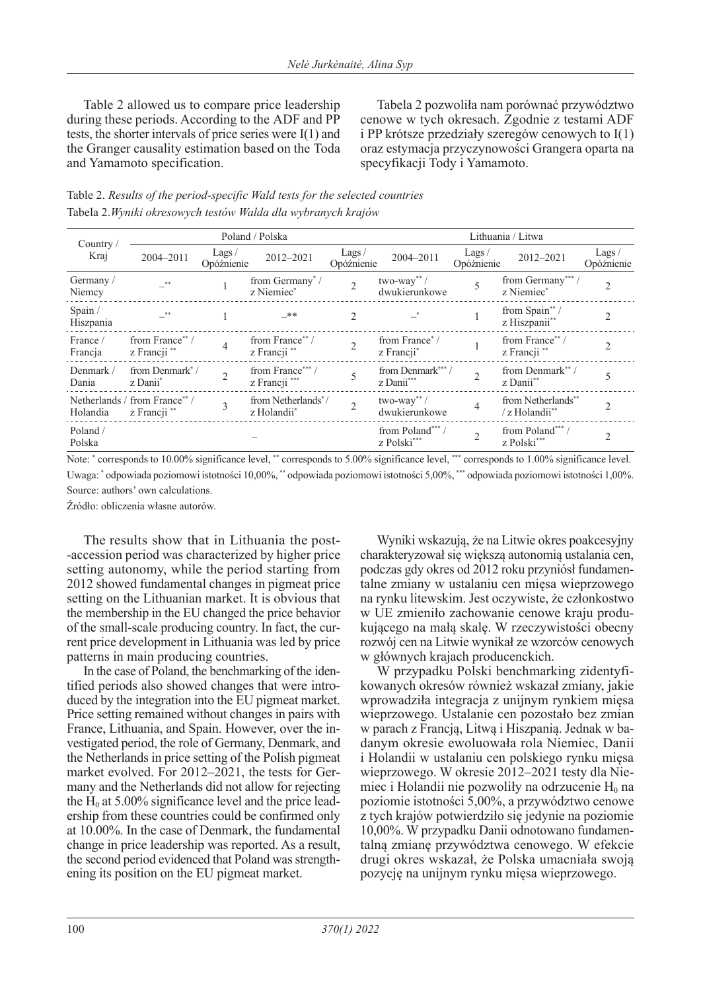Table 2 allowed us to compare price leadership during these periods. According to the ADF and PP tests, the shorter intervals of price series were I(1) and the Granger causality estimation based on the Toda and Yamamoto specification.

Tabela 2 pozwoliła nam porównać przywództwo cenowe w tych okresach. Zgodnie z testami ADF i PP krótsze przedziały szeregów cenowych to I(1) oraz estymacja przyczynowości Grangera oparta na specyfikacji Tody i Yamamoto.

| Table 2. Results of the period-specific Wald tests for the selected countries |
|-------------------------------------------------------------------------------|
| Tabela 2.Wyniki okresowych testów Walda dla wybranych krajów                  |

| Country<br>Kraj      | Poland / Polska                                     |                             |                                                | Lithuania / Litwa        |                                             |                     |                                           |                     |
|----------------------|-----------------------------------------------------|-----------------------------|------------------------------------------------|--------------------------|---------------------------------------------|---------------------|-------------------------------------------|---------------------|
|                      | 2004-2011                                           | Lags/<br>Opóźnienie         | 2012-2021                                      | Lags $/$<br>Opóźnienie   | 2004-2011                                   | Lags/<br>Opóźnienie | 2012-2021                                 | Lags/<br>Opóźnienie |
| Germany /<br>Niemcy  | <b>**</b>                                           |                             | from Germany <sup>*</sup> /<br>z Niemiec*      | $\overline{2}$           | $two$ -way" /<br>dwukierunkowe              | 5                   | from Germany***/<br>z Niemiec*            | $\overline{2}$      |
| Spain /<br>Hiszpania |                                                     |                             | _**                                            | 2                        |                                             |                     | from Spain**/<br>z Hiszpanii**            |                     |
| France /<br>Francja  | from France**/<br>z Francji **                      | $\overline{4}$              | from France**/<br>z Francji **                 | $\overline{\mathcal{L}}$ | from France <sup>*</sup> /<br>z Francji*    |                     | from France**/<br>z Francji <sup>**</sup> | $\mathfrak{D}$      |
| Denmark /<br>Dania   | from Denmark <sup>*</sup> /<br>z Danii <sup>*</sup> | $\mathcal{D}_{\mathcal{L}}$ | from France***/<br>z Francji ***               | 5                        | from Denmark***/<br>z Danii***              |                     | from Denmark**/<br>z Danii**              |                     |
| Holandia             | Netherlands / from France** /<br>z Francji **       | $\overline{3}$              | from Netherlands <sup>*</sup> /<br>z Holandii* | $\overline{2}$           | $two$ -way <sup>**</sup> /<br>dwukierunkowe | $\overline{4}$      | from Netherlands**<br>/z Holandii**       | $\mathfrak{D}$      |
| Poland /<br>Polska   |                                                     |                             |                                                |                          | from Poland***/<br>z Polski***              | $\overline{2}$      | from Poland***/<br>z Polski***            |                     |

Note: \* corresponds to 10.00% significance level, \*\* corresponds to 5.00% significance level, \*\*\* corresponds to 1.00% significance level.

Uwaga: \* odpowiada poziomowi istotności 10,00%, \*\* odpowiada poziomowi istotności 5,00%, \*\*\* odpowiada poziomowi istotności 1,00%. Source: authors' own calculations.

Źródło: obliczenia własne autorów.

The results show that in Lithuania the post- -accession period was characterized by higher price setting autonomy, while the period starting from 2012 showed fundamental changes in pigmeat price setting on the Lithuanian market. It is obvious that the membership in the EU changed the price behavior of the small-scale producing country. In fact, the current price development in Lithuania was led by price patterns in main producing countries.

In the case of Poland, the benchmarking of the identified periods also showed changes that were introduced by the integration into the EU pigmeat market. Price setting remained without changes in pairs with France, Lithuania, and Spain. However, over the investigated period, the role of Germany, Denmark, and the Netherlands in price setting of the Polish pigmeat market evolved. For 2012–2021, the tests for Germany and the Netherlands did not allow for rejecting the  $H_0$  at 5.00% significance level and the price leadership from these countries could be confirmed only at 10.00%. In the case of Denmark, the fundamental change in price leadership was reported. As a result, the second period evidenced that Poland was strengthening its position on the EU pigmeat market.

Wyniki wskazują, że na Litwie okres poakcesyjny charakteryzował się większą autonomią ustalania cen, podczas gdy okres od 2012 roku przyniósł fundamentalne zmiany w ustalaniu cen mięsa wieprzowego na rynku litewskim. Jest oczywiste, że członkostwo w UE zmieniło zachowanie cenowe kraju produkującego na małą skalę. W rzeczywistości obecny rozwój cen na Litwie wynikał ze wzorców cenowych w głównych krajach producenckich.

W przypadku Polski benchmarking zidentyfikowanych okresów również wskazał zmiany, jakie wprowadziła integracja z unijnym rynkiem mięsa wieprzowego. Ustalanie cen pozostało bez zmian w parach z Francją, Litwą i Hiszpanią. Jednak w badanym okresie ewoluowała rola Niemiec, Danii i Holandii w ustalaniu cen polskiego rynku mięsa wieprzowego. W okresie 2012–2021 testy dla Niemiec i Holandii nie pozwoliły na odrzucenie  $H_0$  na poziomie istotności 5,00%, a przywództwo cenowe z tych krajów potwierdziło się jedynie na poziomie 10,00%. W przypadku Danii odnotowano fundamentalną zmianę przywództwa cenowego. W efekcie drugi okres wskazał, że Polska umacniała swoją pozycję na unijnym rynku mięsa wieprzowego.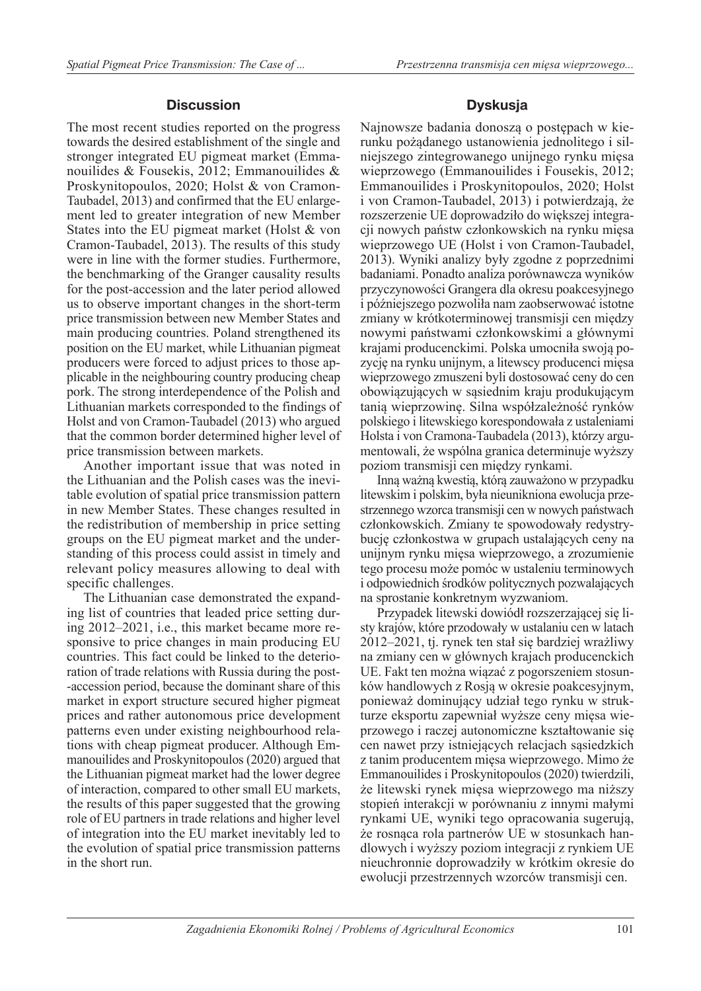## **Discussion**

The most recent studies reported on the progress towards the desired establishment of the single and stronger integrated EU pigmeat market (Emmanouilides & Fousekis, 2012; Emmanouilides & Proskynitopoulos, 2020; Holst & von Cramon-Taubadel, 2013) and confirmed that the EU enlargement led to greater integration of new Member States into the EU pigmeat market (Holst & von Cramon-Taubadel, 2013). The results of this study were in line with the former studies. Furthermore, the benchmarking of the Granger causality results for the post-accession and the later period allowed us to observe important changes in the short-term price transmission between new Member States and main producing countries. Poland strengthened its position on the EU market, while Lithuanian pigmeat producers were forced to adjust prices to those applicable in the neighbouring country producing cheap pork. The strong interdependence of the Polish and Lithuanian markets corresponded to the findings of Holst and von Cramon-Taubadel (2013) who argued that the common border determined higher level of price transmission between markets.

Another important issue that was noted in the Lithuanian and the Polish cases was the inevitable evolution of spatial price transmission pattern in new Member States. These changes resulted in the redistribution of membership in price setting groups on the EU pigmeat market and the understanding of this process could assist in timely and relevant policy measures allowing to deal with specific challenges.

The Lithuanian case demonstrated the expanding list of countries that leaded price setting during 2012–2021, i.e., this market became more responsive to price changes in main producing EU countries. This fact could be linked to the deterioration of trade relations with Russia during the post- -accession period, because the dominant share of this market in export structure secured higher pigmeat prices and rather autonomous price development patterns even under existing neighbourhood relations with cheap pigmeat producer. Although Emmanouilides and Proskynitopoulos (2020) argued that the Lithuanian pigmeat market had the lower degree of interaction, compared to other small EU markets, the results of this paper suggested that the growing role of EU partners in trade relations and higher level of integration into the EU market inevitably led to the evolution of spatial price transmission patterns in the short run.

## **Dyskusja**

Najnowsze badania donoszą o postępach w kierunku pożądanego ustanowienia jednolitego i silniejszego zintegrowanego unijnego rynku mięsa wieprzowego (Emmanouilides i Fousekis, 2012; Emmanouilides i Proskynitopoulos, 2020; Holst i von Cramon-Taubadel, 2013) i potwierdzają, że rozszerzenie UE doprowadziło do większej integracji nowych państw członkowskich na rynku mięsa wieprzowego UE (Holst i von Cramon-Taubadel, 2013). Wyniki analizy były zgodne z poprzednimi badaniami. Ponadto analiza porównawcza wyników przyczynowości Grangera dla okresu poakcesyjnego i późniejszego pozwoliła nam zaobserwować istotne zmiany w krótkoterminowej transmisji cen między nowymi państwami członkowskimi a głównymi krajami producenckimi. Polska umocniła swoją pozycję na rynku unijnym, a litewscy producenci mięsa wieprzowego zmuszeni byli dostosować ceny do cen obowiązujących w sąsiednim kraju produkującym tanią wieprzowinę. Silna współzależność rynków polskiego i litewskiego korespondowała z ustaleniami Holsta i von Cramona-Taubadela (2013), którzy argumentowali, że wspólna granica determinuje wyższy poziom transmisji cen między rynkami.

Inną ważną kwestią, którą zauważono w przypadku litewskim i polskim, była nieunikniona ewolucja przestrzennego wzorca transmisji cen w nowych państwach członkowskich. Zmiany te spowodowały redystrybucję członkostwa w grupach ustalających ceny na unijnym rynku mięsa wieprzowego, a zrozumienie tego procesu może pomóc w ustaleniu terminowych i odpowiednich środków politycznych pozwalających na sprostanie konkretnym wyzwaniom.

Przypadek litewski dowiódł rozszerzającej się listy krajów, które przodowały w ustalaniu cen w latach 2012–2021, tj. rynek ten stał się bardziej wrażliwy na zmiany cen w głównych krajach producenckich UE. Fakt ten można wiązać z pogorszeniem stosunków handlowych z Rosją w okresie poakcesyjnym, ponieważ dominujący udział tego rynku w strukturze eksportu zapewniał wyższe ceny mięsa wieprzowego i raczej autonomiczne kształtowanie się cen nawet przy istniejących relacjach sąsiedzkich z tanim producentem mięsa wieprzowego. Mimo że Emmanouilides i Proskynitopoulos (2020) twierdzili, że litewski rynek mięsa wieprzowego ma niższy stopień interakcji w porównaniu z innymi małymi rynkami UE, wyniki tego opracowania sugerują, że rosnąca rola partnerów UE w stosunkach handlowych i wyższy poziom integracji z rynkiem UE nieuchronnie doprowadziły w krótkim okresie do ewolucji przestrzennych wzorców transmisji cen.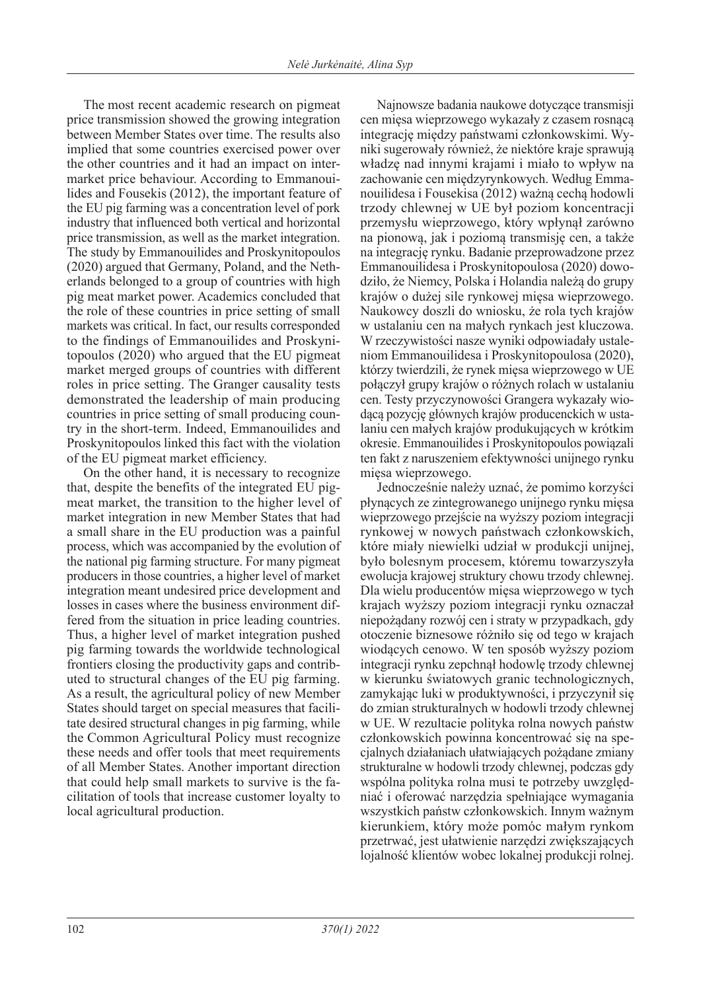The most recent academic research on pigmeat price transmission showed the growing integration between Member States over time. The results also implied that some countries exercised power over the other countries and it had an impact on intermarket price behaviour. According to Emmanouilides and Fousekis (2012), the important feature of the EU pig farming was a concentration level of pork industry that influenced both vertical and horizontal price transmission, as well as the market integration. The study by Emmanouilides and Proskynitopoulos (2020) argued that Germany, Poland, and the Netherlands belonged to a group of countries with high pig meat market power. Academics concluded that the role of these countries in price setting of small markets was critical. In fact, our results corresponded to the findings of Emmanouilides and Proskynitopoulos (2020) who argued that the EU pigmeat market merged groups of countries with different roles in price setting. The Granger causality tests demonstrated the leadership of main producing countries in price setting of small producing country in the short-term. Indeed, Emmanouilides and Proskynitopoulos linked this fact with the violation of the EU pigmeat market efficiency.

On the other hand, it is necessary to recognize that, despite the benefits of the integrated EU pigmeat market, the transition to the higher level of market integration in new Member States that had a small share in the EU production was a painful process, which was accompanied by the evolution of the national pig farming structure. For many pigmeat producers in those countries, a higher level of market integration meant undesired price development and losses in cases where the business environment differed from the situation in price leading countries. Thus, a higher level of market integration pushed pig farming towards the worldwide technological frontiers closing the productivity gaps and contributed to structural changes of the EU pig farming. As a result, the agricultural policy of new Member States should target on special measures that facilitate desired structural changes in pig farming, while the Common Agricultural Policy must recognize these needs and offer tools that meet requirements of all Member States. Another important direction that could help small markets to survive is the facilitation of tools that increase customer loyalty to local agricultural production.

Najnowsze badania naukowe dotyczące transmisji cen mięsa wieprzowego wykazały z czasem rosnącą integrację między państwami członkowskimi. Wyniki sugerowały również, że niektóre kraje sprawują władzę nad innymi krajami i miało to wpływ na zachowanie cen międzyrynkowych. Według Emmanouilidesa i Fousekisa (2012) ważną cechą hodowli trzody chlewnej w UE był poziom koncentracji przemysłu wieprzowego, który wpłynął zarówno na pionową, jak i poziomą transmisję cen, a także na integrację rynku. Badanie przeprowadzone przez Emmanouilidesa i Proskynitopoulosa (2020) dowodziło, że Niemcy, Polska i Holandia należą do grupy krajów o dużej sile rynkowej mięsa wieprzowego. Naukowcy doszli do wniosku, że rola tych krajów w ustalaniu cen na małych rynkach jest kluczowa. W rzeczywistości nasze wyniki odpowiadały ustaleniom Emmanouilidesa i Proskynitopoulosa (2020), którzy twierdzili, że rynek mięsa wieprzowego w UE połączył grupy krajów o różnych rolach w ustalaniu cen. Testy przyczynowości Grangera wykazały wiodącą pozycję głównych krajów producenckich w ustalaniu cen małych krajów produkujących w krótkim okresie. Emmanouilides i Proskynitopoulos powiązali ten fakt z naruszeniem efektywności unijnego rynku mięsa wieprzowego.

Jednocześnie należy uznać, że pomimo korzyści płynących ze zintegrowanego unijnego rynku mięsa wieprzowego przejście na wyższy poziom integracji rynkowej w nowych państwach członkowskich, które miały niewielki udział w produkcji unijnej, było bolesnym procesem, któremu towarzyszyła ewolucja krajowej struktury chowu trzody chlewnej. Dla wielu producentów mięsa wieprzowego w tych krajach wyższy poziom integracji rynku oznaczał niepożądany rozwój cen i straty w przypadkach, gdy otoczenie biznesowe różniło się od tego w krajach wiodących cenowo. W ten sposób wyższy poziom integracji rynku zepchnął hodowlę trzody chlewnej w kierunku światowych granic technologicznych, zamykając luki w produktywności, i przyczynił się do zmian strukturalnych w hodowli trzody chlewnej w UE. W rezultacie polityka rolna nowych państw członkowskich powinna koncentrować się na specjalnych działaniach ułatwiających pożądane zmiany strukturalne w hodowli trzody chlewnej, podczas gdy wspólna polityka rolna musi te potrzeby uwzględniać i oferować narzędzia spełniające wymagania wszystkich państw członkowskich. Innym ważnym kierunkiem, który może pomóc małym rynkom przetrwać, jest ułatwienie narzędzi zwiększających lojalność klientów wobec lokalnej produkcji rolnej.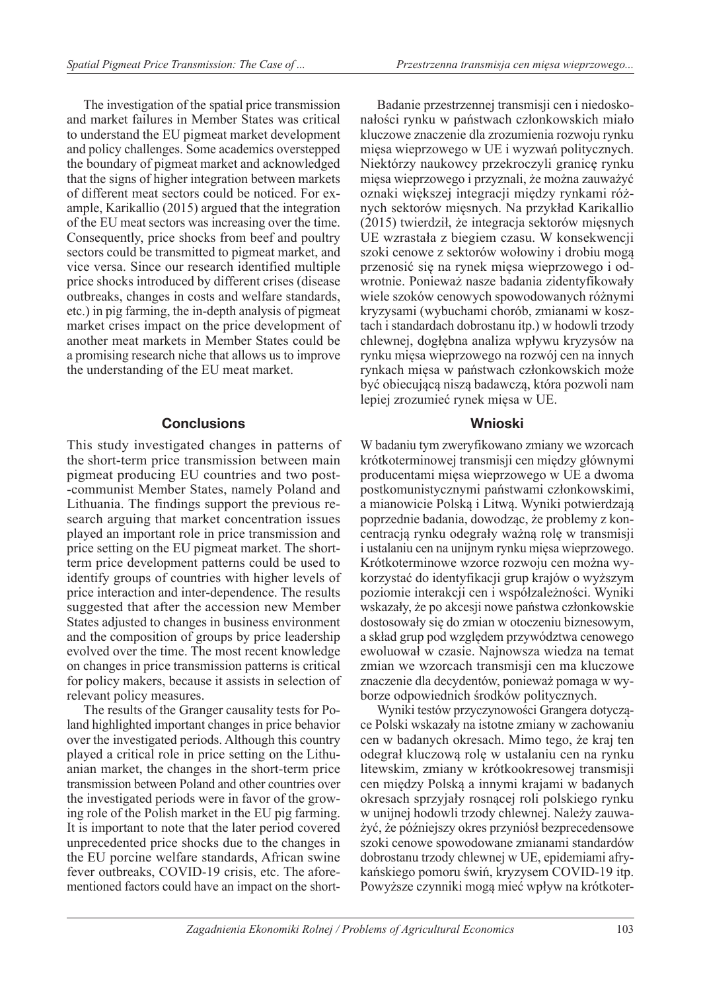The investigation of the spatial price transmission and market failures in Member States was critical to understand the EU pigmeat market development and policy challenges. Some academics overstepped the boundary of pigmeat market and acknowledged that the signs of higher integration between markets of different meat sectors could be noticed. For example, Karikallio (2015) argued that the integration of the EU meat sectors was increasing over the time. Consequently, price shocks from beef and poultry sectors could be transmitted to pigmeat market, and vice versa. Since our research identified multiple price shocks introduced by different crises (disease outbreaks, changes in costs and welfare standards, etc.) in pig farming, the in-depth analysis of pigmeat market crises impact on the price development of another meat markets in Member States could be a promising research niche that allows us to improve the understanding of the EU meat market.

## **Conclusions**

This study investigated changes in patterns of the short-term price transmission between main pigmeat producing EU countries and two post- -communist Member States, namely Poland and Lithuania. The findings support the previous research arguing that market concentration issues played an important role in price transmission and price setting on the EU pigmeat market. The shortterm price development patterns could be used to identify groups of countries with higher levels of price interaction and inter-dependence. The results suggested that after the accession new Member States adjusted to changes in business environment and the composition of groups by price leadership evolved over the time. The most recent knowledge on changes in price transmission patterns is critical for policy makers, because it assists in selection of relevant policy measures.

The results of the Granger causality tests for Poland highlighted important changes in price behavior over the investigated periods. Although this country played a critical role in price setting on the Lithuanian market, the changes in the short-term price transmission between Poland and other countries over the investigated periods were in favor of the growing role of the Polish market in the EU pig farming. It is important to note that the later period covered unprecedented price shocks due to the changes in the EU porcine welfare standards, African swine fever outbreaks, COVID-19 crisis, etc. The aforementioned factors could have an impact on the short-

Badanie przestrzennej transmisji cen i niedoskonałości rynku w państwach członkowskich miało kluczowe znaczenie dla zrozumienia rozwoju rynku mięsa wieprzowego w UE i wyzwań politycznych. Niektórzy naukowcy przekroczyli granicę rynku mięsa wieprzowego i przyznali, że można zauważyć oznaki większej integracji między rynkami różnych sektorów mięsnych. Na przykład Karikallio (2015) twierdził, że integracja sektorów mięsnych UE wzrastała z biegiem czasu. W konsekwencji szoki cenowe z sektorów wołowiny i drobiu mogą przenosić się na rynek mięsa wieprzowego i odwrotnie. Ponieważ nasze badania zidentyfikowały wiele szoków cenowych spowodowanych różnymi kryzysami (wybuchami chorób, zmianami w kosztach i standardach dobrostanu itp.) w hodowli trzody chlewnej, dogłębna analiza wpływu kryzysów na rynku mięsa wieprzowego na rozwój cen na innych rynkach mięsa w państwach członkowskich może być obiecującą niszą badawczą, która pozwoli nam lepiej zrozumieć rynek mięsa w UE.

## **Wnioski**

W badaniu tym zweryfikowano zmiany we wzorcach krótkoterminowej transmisji cen między głównymi producentami mięsa wieprzowego w UE a dwoma postkomunistycznymi państwami członkowskimi, a mianowicie Polską i Litwą. Wyniki potwierdzają poprzednie badania, dowodząc, że problemy z koncentracją rynku odegrały ważną rolę w transmisji i ustalaniu cen na unijnym rynku mięsa wieprzowego. Krótkoterminowe wzorce rozwoju cen można wykorzystać do identyfikacji grup krajów o wyższym poziomie interakcji cen i współzależności. Wyniki wskazały, że po akcesji nowe państwa członkowskie dostosowały się do zmian w otoczeniu biznesowym, a skład grup pod względem przywództwa cenowego ewoluował w czasie. Najnowsza wiedza na temat zmian we wzorcach transmisji cen ma kluczowe znaczenie dla decydentów, ponieważ pomaga w wyborze odpowiednich środków politycznych.

Wyniki testów przyczynowości Grangera dotyczące Polski wskazały na istotne zmiany w zachowaniu cen w badanych okresach. Mimo tego, że kraj ten odegrał kluczową rolę w ustalaniu cen na rynku litewskim, zmiany w krótkookresowej transmisji cen między Polską a innymi krajami w badanych okresach sprzyjały rosnącej roli polskiego rynku w unijnej hodowli trzody chlewnej. Należy zauważyć, że późniejszy okres przyniósł bezprecedensowe szoki cenowe spowodowane zmianami standardów dobrostanu trzody chlewnej w UE, epidemiami afrykańskiego pomoru świń, kryzysem COVID-19 itp. Powyższe czynniki mogą mieć wpływ na krótkoter-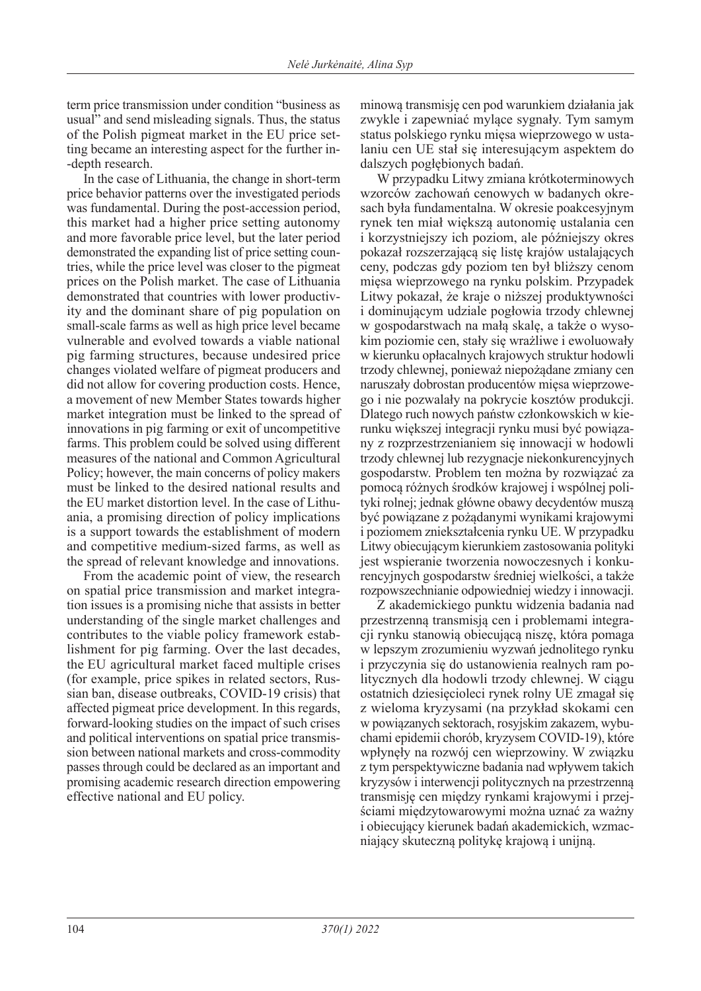term price transmission under condition "business as usual" and send misleading signals. Thus, the status of the Polish pigmeat market in the EU price setting became an interesting aspect for the further in- -depth research.

In the case of Lithuania, the change in short-term price behavior patterns over the investigated periods was fundamental. During the post-accession period, this market had a higher price setting autonomy and more favorable price level, but the later period demonstrated the expanding list of price setting countries, while the price level was closer to the pigmeat prices on the Polish market. The case of Lithuania demonstrated that countries with lower productivity and the dominant share of pig population on small-scale farms as well as high price level became vulnerable and evolved towards a viable national pig farming structures, because undesired price changes violated welfare of pigmeat producers and did not allow for covering production costs. Hence, a movement of new Member States towards higher market integration must be linked to the spread of innovations in pig farming or exit of uncompetitive farms. This problem could be solved using different measures of the national and Common Agricultural Policy; however, the main concerns of policy makers must be linked to the desired national results and the EU market distortion level. In the case of Lithuania, a promising direction of policy implications is a support towards the establishment of modern and competitive medium-sized farms, as well as the spread of relevant knowledge and innovations.

From the academic point of view, the research on spatial price transmission and market integration issues is a promising niche that assists in better understanding of the single market challenges and contributes to the viable policy framework establishment for pig farming. Over the last decades, the EU agricultural market faced multiple crises (for example, price spikes in related sectors, Russian ban, disease outbreaks, COVID-19 crisis) that affected pigmeat price development. In this regards, forward-looking studies on the impact of such crises and political interventions on spatial price transmission between national markets and cross-commodity passes through could be declared as an important and promising academic research direction empowering effective national and EU policy.

minową transmisję cen pod warunkiem działania jak zwykle i zapewniać mylące sygnały. Tym samym status polskiego rynku mięsa wieprzowego w ustalaniu cen UE stał się interesującym aspektem do dalszych pogłębionych badań.

W przypadku Litwy zmiana krótkoterminowych wzorców zachowań cenowych w badanych okresach była fundamentalna. W okresie poakcesyjnym rynek ten miał większą autonomię ustalania cen i korzystniejszy ich poziom, ale późniejszy okres pokazał rozszerzającą się listę krajów ustalających ceny, podczas gdy poziom ten był bliższy cenom mięsa wieprzowego na rynku polskim. Przypadek Litwy pokazał, że kraje o niższej produktywności i dominującym udziale pogłowia trzody chlewnej w gospodarstwach na małą skalę, a także o wysokim poziomie cen, stały się wrażliwe i ewoluowały w kierunku opłacalnych krajowych struktur hodowli trzody chlewnej, ponieważ niepożądane zmiany cen naruszały dobrostan producentów mięsa wieprzowego i nie pozwalały na pokrycie kosztów produkcji. Dlatego ruch nowych państw członkowskich w kierunku większej integracji rynku musi być powiązany z rozprzestrzenianiem się innowacji w hodowli trzody chlewnej lub rezygnacje niekonkurencyjnych gospodarstw. Problem ten można by rozwiązać za pomocą różnych środków krajowej i wspólnej polityki rolnej; jednak główne obawy decydentów muszą być powiązane z pożądanymi wynikami krajowymi i poziomem zniekształcenia rynku UE. W przypadku Litwy obiecującym kierunkiem zastosowania polityki jest wspieranie tworzenia nowoczesnych i konkurencyjnych gospodarstw średniej wielkości, a także rozpowszechnianie odpowiedniej wiedzy i innowacji.

Z akademickiego punktu widzenia badania nad przestrzenną transmisją cen i problemami integracji rynku stanowią obiecującą niszę, która pomaga w lepszym zrozumieniu wyzwań jednolitego rynku i przyczynia się do ustanowienia realnych ram politycznych dla hodowli trzody chlewnej. W ciągu ostatnich dziesięcioleci rynek rolny UE zmagał się z wieloma kryzysami (na przykład skokami cen w powiązanych sektorach, rosyjskim zakazem, wybuchami epidemii chorób, kryzysem COVID-19), które wpłynęły na rozwój cen wieprzowiny. W związku z tym perspektywiczne badania nad wpływem takich kryzysów i interwencji politycznych na przestrzenną transmisję cen między rynkami krajowymi i przejściami międzytowarowymi można uznać za ważny i obiecujący kierunek badań akademickich, wzmacniający skuteczną politykę krajową i unijną.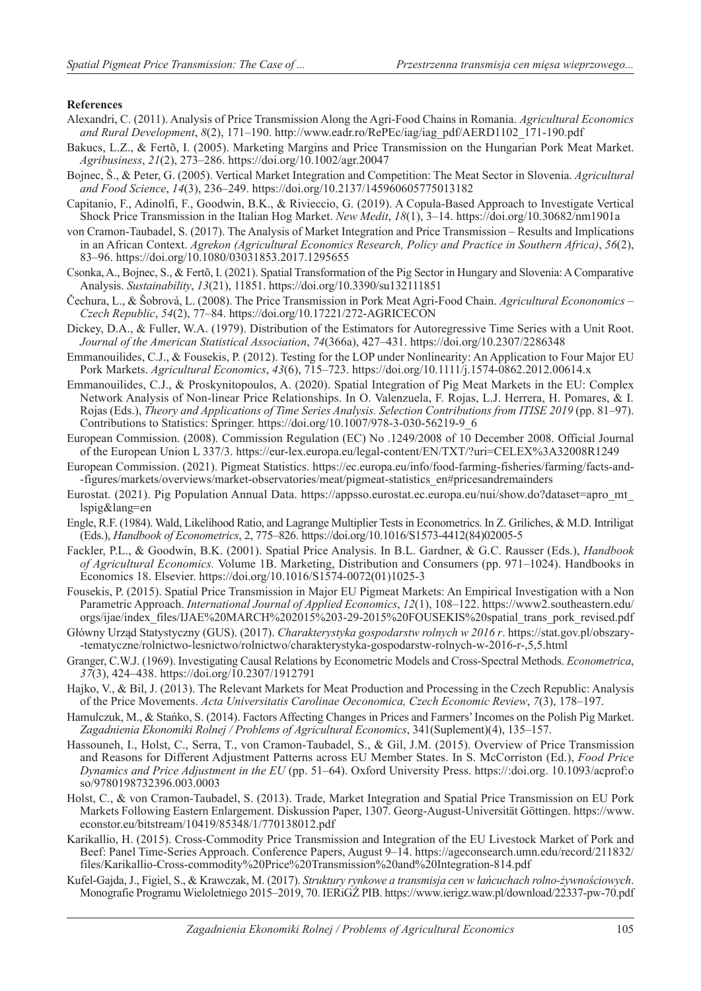### **References**

- Alexandri, C. (2011). Analysis of Price Transmission Along the Agri-Food Chains in Romania. *Agricultural Economics and Rural Development*, *8*(2), 171–190. http://www.eadr.ro/RePEc/iag/iag\_pdf/AERD1102\_171-190.pdf
- Bakucs, L.Z., & Fertõ, I. (2005). Marketing Margins and Price Transmission on the Hungarian Pork Meat Market. *Agribusiness*, *21*(2), 273–286. https://doi.org/10.1002/agr.20047
- Bojnec, Š., & Peter, G. (2005). Vertical Market Integration and Competition: The Meat Sector in Slovenia. *Agricultural and Food Science*, *14*(3), 236–249. https://doi.org/10.2137/145960605775013182
- Capitanio, F., Adinolfi, F., Goodwin, B.K., & Rivieccio, G. (2019). A Copula-Based Approach to Investigate Vertical Shock Price Transmission in the Italian Hog Market. *New Medit*, *18*(1), 3–14. https://doi.org/10.30682/nm1901a
- von Cramon-Taubadel, S. (2017). The Analysis of Market Integration and Price Transmission Results and Implications in an African Context. *Agrekon (Agricultural Economics Research, Policy and Practice in Southern Africa)*, *56*(2), 83–96. https://doi.org/10.1080/03031853.2017.1295655
- Csonka, A., Bojnec, S., & Fertõ, I. (2021). Spatial Transformation of the Pig Sector in Hungary and Slovenia: A Comparative Analysis. *Sustainability*, *13*(21), 11851. https://doi.org/10.3390/su132111851
- Čechura, L., & Šobrová, L. (2008). The Price Transmission in Pork Meat Agri-Food Chain. *Agricultural Econonomics Czech Republic*, *54*(2), 77–84. https://doi.org/10.17221/272-AGRICECON
- Dickey, D.A., & Fuller, W.A. (1979). Distribution of the Estimators for Autoregressive Time Series with a Unit Root. *Journal of the American Statistical Association*, *74*(366a), 427–431. https://doi.org/10.2307/2286348
- Emmanouilides, C.J., & Fousekis, P. (2012). Testing for the LOP under Nonlinearity: An Application to Four Major EU Pork Markets. *Agricultural Economics*, *43*(6), 715–723. https://doi.org/10.1111/j.1574-0862.2012.00614.x
- Emmanouilides, C.J., & Proskynitopoulos, A. (2020). Spatial Integration of Pig Meat Markets in the EU: Complex Network Analysis of Non-linear Price Relationships. In O. Valenzuela, F. Rojas, L.J. Herrera, H. Pomares, & I. Rojas (Eds.), *Theory and Applications of Time Series Analysis. Selection Contributions from ITISE 2019* (pp. 81–97). Contributions to Statistics: Springer. https://doi.org/10.1007/978-3-030-56219-9\_6
- European Commission. (2008). Commission Regulation (EC) No .1249/2008 of 10 December 2008. Official Journal of the European Union L 337/3. https://eur-lex.europa.eu/legal-content/EN/TXT/?uri=CELEX%3A32008R1249
- European Commission. (2021). Pigmeat Statistics. https://ec.europa.eu/info/food-farming-fisheries/farming/facts-and- -figures/markets/overviews/market-observatories/meat/pigmeat-statistics\_en#pricesandremainders
- Eurostat. (2021). Pig Population Annual Data. https://appsso.eurostat.ec.europa.eu/nui/show.do?dataset=apro\_mt\_ lspig&lang=en
- Engle, R.F. (1984). Wald, Likelihood Ratio, and Lagrange Multiplier Tests in Econometrics. In Z. Griliches, & M.D. Intriligat (Eds.), *Handbook of Econometrics*, 2, 775–826. https://doi.org/10.1016/S1573-4412(84)02005-5
- Fackler, P.L., & Goodwin, B.K. (2001). Spatial Price Analysis. In B.L. Gardner, & G.C. Rausser (Eds.), *Handbook of Agricultural Economics.* Volume 1B. Marketing, Distribution and Consumers (pp. 971–1024). Handbooks in Economics 18. Elsevier. https://doi.org/10.1016/S1574-0072(01)1025-3
- Fousekis, P. (2015). Spatial Price Transmission in Major EU Pigmeat Markets: An Empirical Investigation with a Non Parametric Approach. *International Journal of Applied Economics*, *12*(1), 108–122. https://www2.southeastern.edu/ orgs/ijae/index\_files/IJAE%20MARCH%202015%203-29-2015%20FOUSEKIS%20spatial\_trans\_pork\_revised.pdf
- Główny Urząd Statystyczny (GUS). (2017). *Charakterystyka gospodarstw rolnych w 2016 r*. https://stat.gov.pl/obszary- -tematyczne/rolnictwo-lesnictwo/rolnictwo/charakterystyka-gospodarstw-rolnych-w-2016-r-,5,5.html
- Granger, C.W.J. (1969). Investigating Causal Relations by Econometric Models and Cross-Spectral Methods. *Econometrica*, *37*(3), 424–438. https://doi.org/10.2307/1912791
- Hajko, V., & Bil, J. (2013). The Relevant Markets for Meat Production and Processing in the Czech Republic: Analysis of the Price Movements. *Acta Universitatis Carolinae Oeconomica, Czech Economic Review*, *7*(3), 178–197.
- Hamulczuk, M., & Stańko, S. (2014). Factors Affecting Changes in Prices and Farmers' Incomes on the Polish Pig Market. *Zagadnienia Ekonomiki Rolnej / Problems of Agricultural Economics*, 341(Suplement)(4), 135–157.
- Hassouneh, I., Holst, C., Serra, T., von Cramon-Taubadel, S., & Gil, J.M. (2015). Overview of Price Transmission and Reasons for Different Adjustment Patterns across EU Member States. In S. McCorriston (Ed.), *Food Price Dynamics and Price Adjustment in the EU* (pp. 51–64). Oxford University Press. https://:doi.org. 10.1093/acprof:o so/9780198732396.003.0003
- Holst, C., & von Cramon-Taubadel, S. (2013). Trade, Market Integration and Spatial Price Transmission on EU Pork Markets Following Eastern Enlargement. Diskussion Paper, 1307. Georg-August-Universität Göttingen. https://www. econstor.eu/bitstream/10419/85348/1/770138012.pdf
- Karikallio, H. (2015). Cross-Commodity Price Transmission and Integration of the EU Livestock Market of Pork and Beef: Panel Time-Series Approach. Conference Papers, August 9–14. https://ageconsearch.umn.edu/record/211832/ files/Karikallio-Cross-commodity%20Price%20Transmission%20and%20Integration-814.pdf
- Kufel-Gajda, J., Figiel, S., & Krawczak, M. (2017). *Struktury rynkowe a transmisja cen w łańcuchach rolno-żywnościowych*. Monografie Programu Wieloletniego 2015–2019, 70. IERiGŻ PIB. https://www.ierigz.waw.pl/download/22337-pw-70.pdf